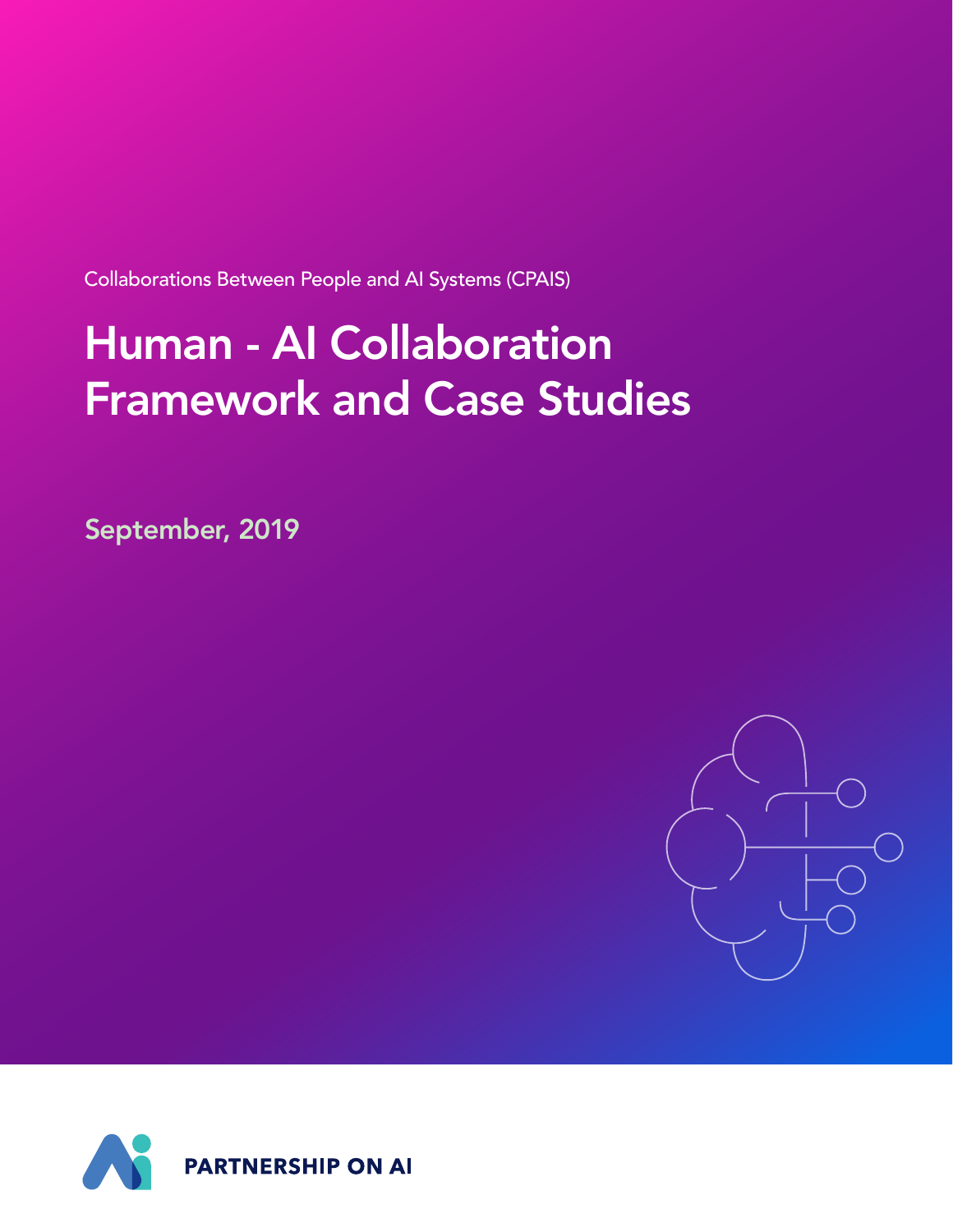Collaborations Between People and AI Systems (CPAIS)

# Human - AI Collaboration Framework and Case Studies

September, 2019



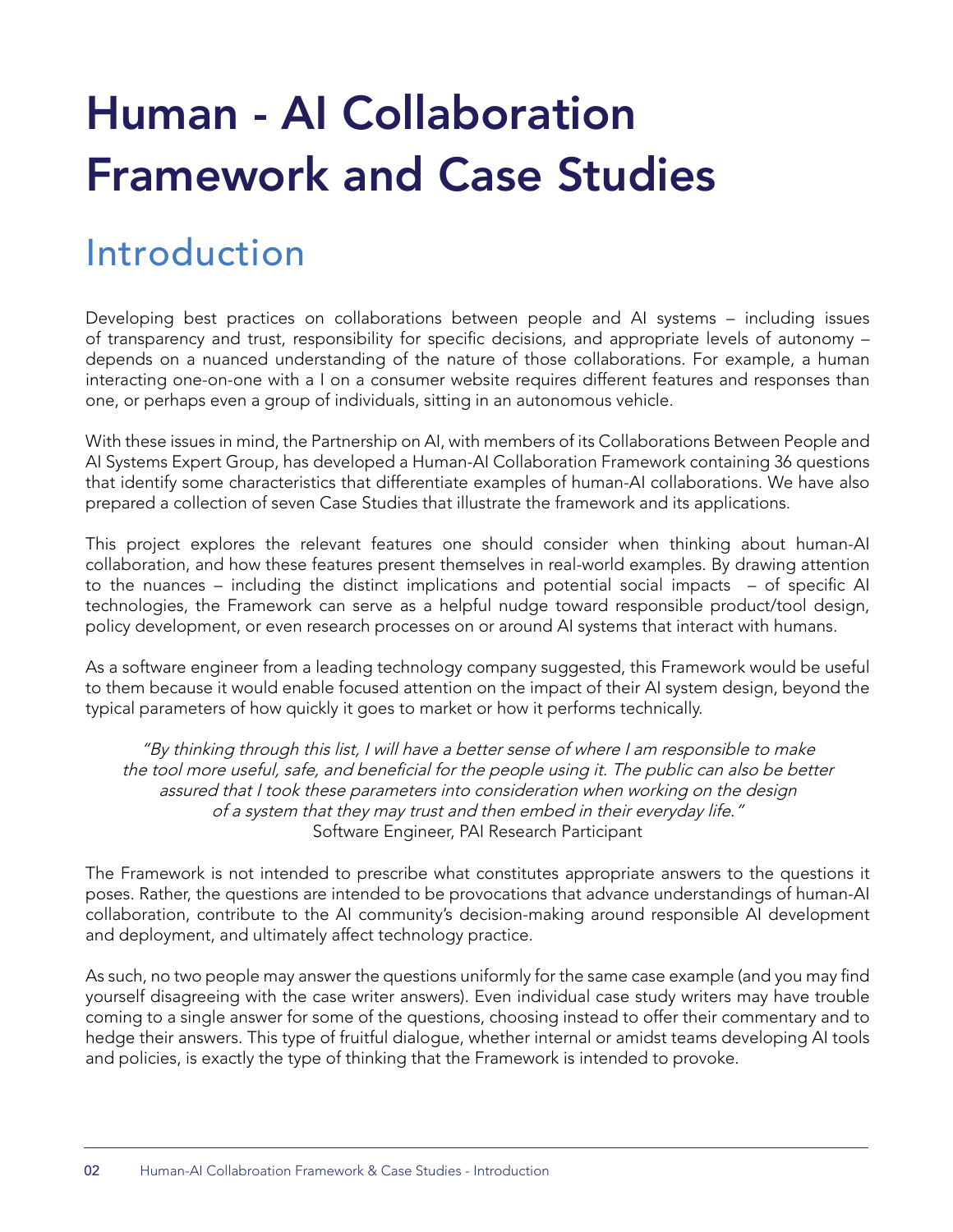# Human - AI Collaboration Framework and Case Studies

# Introduction

Developing best practices on collaborations between people and AI systems – including issues of transparency and trust, responsibility for specific decisions, and appropriate levels of autonomy – depends on a nuanced understanding of the nature of those collaborations. For example, a human interacting one-on-one with a I on a consumer website requires different features and responses than one, or perhaps even a group of individuals, sitting in an autonomous vehicle.

With these issues in mind, the Partnership on AI, with members of its Collaborations Between People and AI Systems Expert Group, has developed a Human-AI Collaboration Framework containing 36 questions that identify some characteristics that differentiate examples of human-AI collaborations. We have also prepared a collection of seven Case Studies that illustrate the framework and its applications.

This project explores the relevant features one should consider when thinking about human-AI collaboration, and how these features present themselves in real-world examples. By drawing attention to the nuances – including the distinct implications and potential social impacts – of specific AI technologies, the Framework can serve as a helpful nudge toward responsible product/tool design, policy development, or even research processes on or around AI systems that interact with humans.

As a software engineer from a leading technology company suggested, this Framework would be useful to them because it would enable focused attention on the impact of their AI system design, beyond the typical parameters of how quickly it goes to market or how it performs technically.

"By thinking through this list, I will have a better sense of where I am responsible to make the tool more useful, safe, and beneficial for the people using it. The public can also be better assured that I took these parameters into consideration when working on the design of a system that they may trust and then embed in their everyday life." Software Engineer, PAI Research Participant

The Framework is not intended to prescribe what constitutes appropriate answers to the questions it poses. Rather, the questions are intended to be provocations that advance understandings of human-AI collaboration, contribute to the AI community's decision-making around responsible AI development and deployment, and ultimately affect technology practice.

As such, no two people may answer the questions uniformly for the same case example (and you may find yourself disagreeing with the case writer answers). Even individual case study writers may have trouble coming to a single answer for some of the questions, choosing instead to offer their commentary and to hedge their answers. This type of fruitful dialogue, whether internal or amidst teams developing AI tools and policies, is exactly the type of thinking that the Framework is intended to provoke.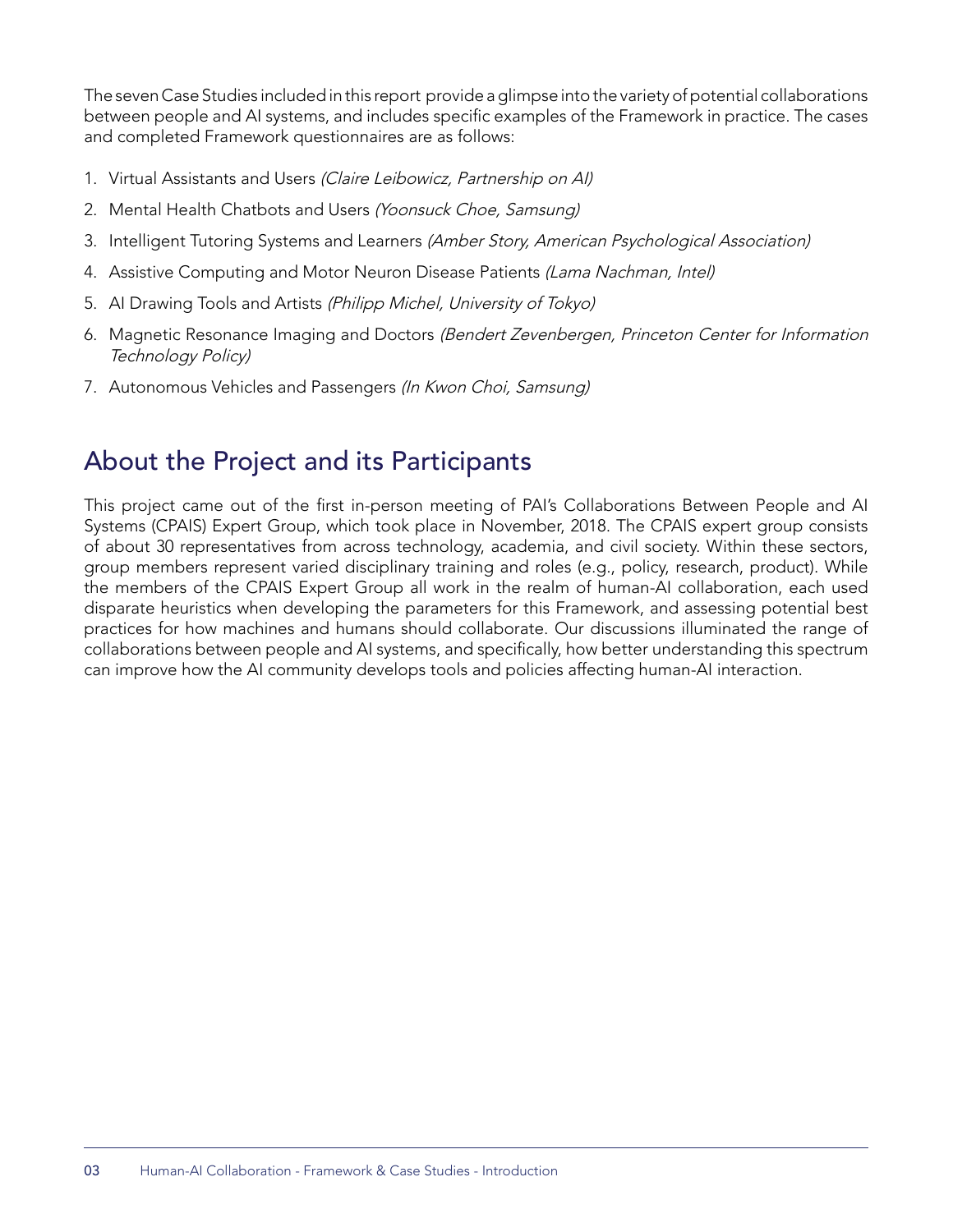The seven Case Studies included in this report provide a glimpse into the variety of potential collaborations between people and AI systems, and includes specific examples of the Framework in practice. The cases and completed Framework questionnaires are as follows:

- 1. Virtual Assistants and Users (Claire Leibowicz, Partnership on Al)
- 2. Mental Health Chatbots and Users (Yoonsuck Choe, Samsung)
- 3. Intelligent Tutoring Systems and Learners (Amber Story, American Psychological Association)
- 4. Assistive Computing and Motor Neuron Disease Patients (Lama Nachman, Intel)
- 5. AI Drawing Tools and Artists (Philipp Michel, University of Tokyo)
- 6. Magnetic Resonance Imaging and Doctors (Bendert Zevenbergen, Princeton Center for Information Technology Policy)
- 7. Autonomous Vehicles and Passengers (In Kwon Choi, Samsung)

## About the Project and its Participants

This project came out of the first in-person meeting of PAI's Collaborations Between People and AI Systems (CPAIS) Expert Group, which took place in November, 2018. The CPAIS expert group consists of about 30 representatives from across technology, academia, and civil society. Within these sectors, group members represent varied disciplinary training and roles (e.g., policy, research, product). While the members of the CPAIS Expert Group all work in the realm of human-AI collaboration, each used disparate heuristics when developing the parameters for this Framework, and assessing potential best practices for how machines and humans should collaborate. Our discussions illuminated the range of collaborations between people and AI systems, and specifically, how better understanding this spectrum can improve how the AI community develops tools and policies affecting human-AI interaction.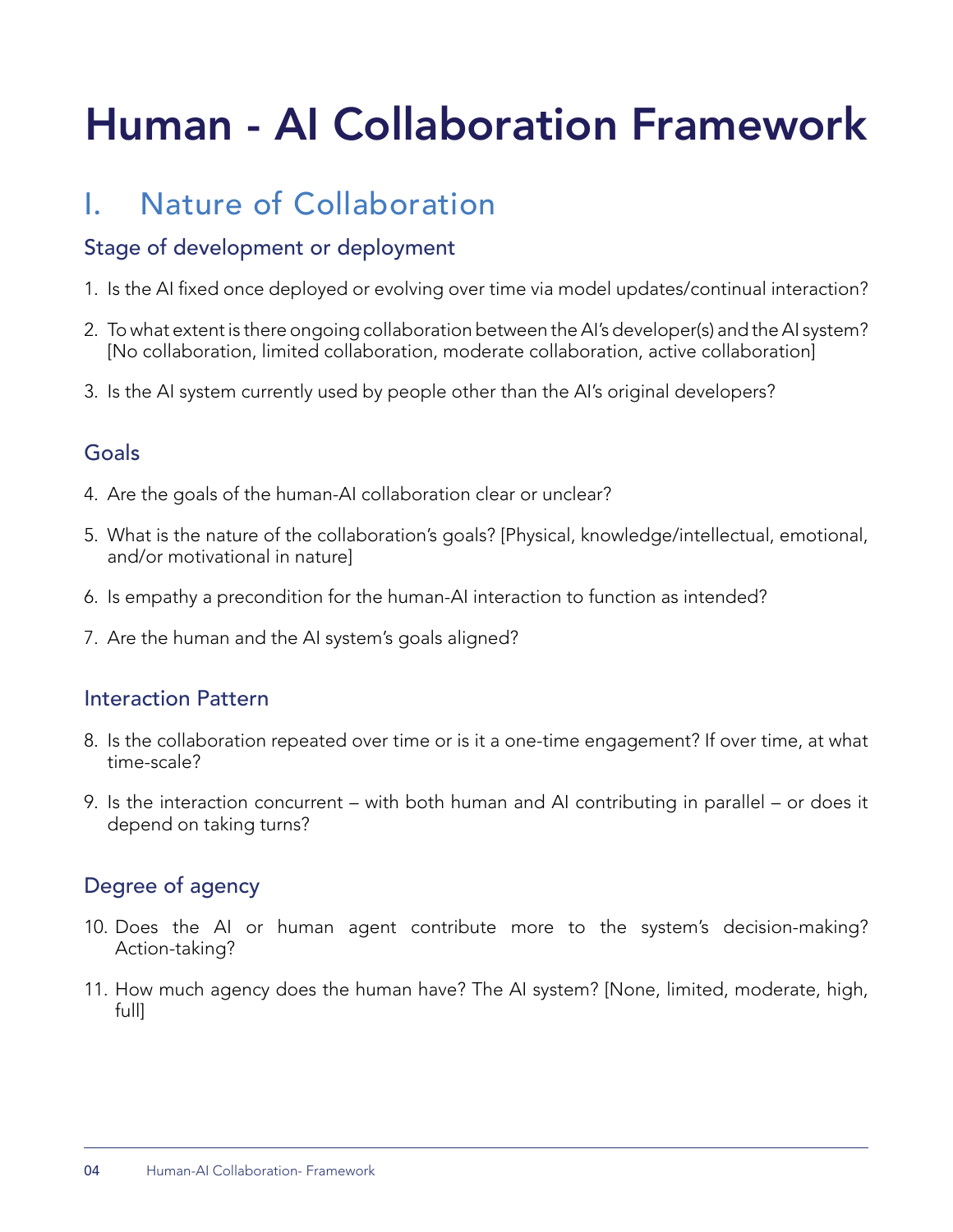# Human - AI Collaboration Framework

## I. Nature of Collaboration

## Stage of development or deployment

- 1. Is the AI fixed once deployed or evolving over time via model updates/continual interaction?
- 2. To what extent is there ongoing collaboration between the AI's developer(s) and the AI system? [No collaboration, limited collaboration, moderate collaboration, active collaboration]
- 3. Is the AI system currently used by people other than the AI's original developers?

## Goals

- 4. Are the goals of the human-AI collaboration clear or unclear?
- 5. What is the nature of the collaboration's goals? [Physical, knowledge/intellectual, emotional, and/or motivational in nature]
- 6. Is empathy a precondition for the human-AI interaction to function as intended?
- 7. Are the human and the AI system's goals aligned?

## Interaction Pattern

- 8. Is the collaboration repeated over time or is it a one-time engagement? If over time, at what time-scale?
- 9. Is the interaction concurrent with both human and AI contributing in parallel or does it depend on taking turns?

## Degree of agency

- 10. Does the AI or human agent contribute more to the system's decision-making? Action-taking?
- 11. How much agency does the human have? The AI system? [None, limited, moderate, high, full]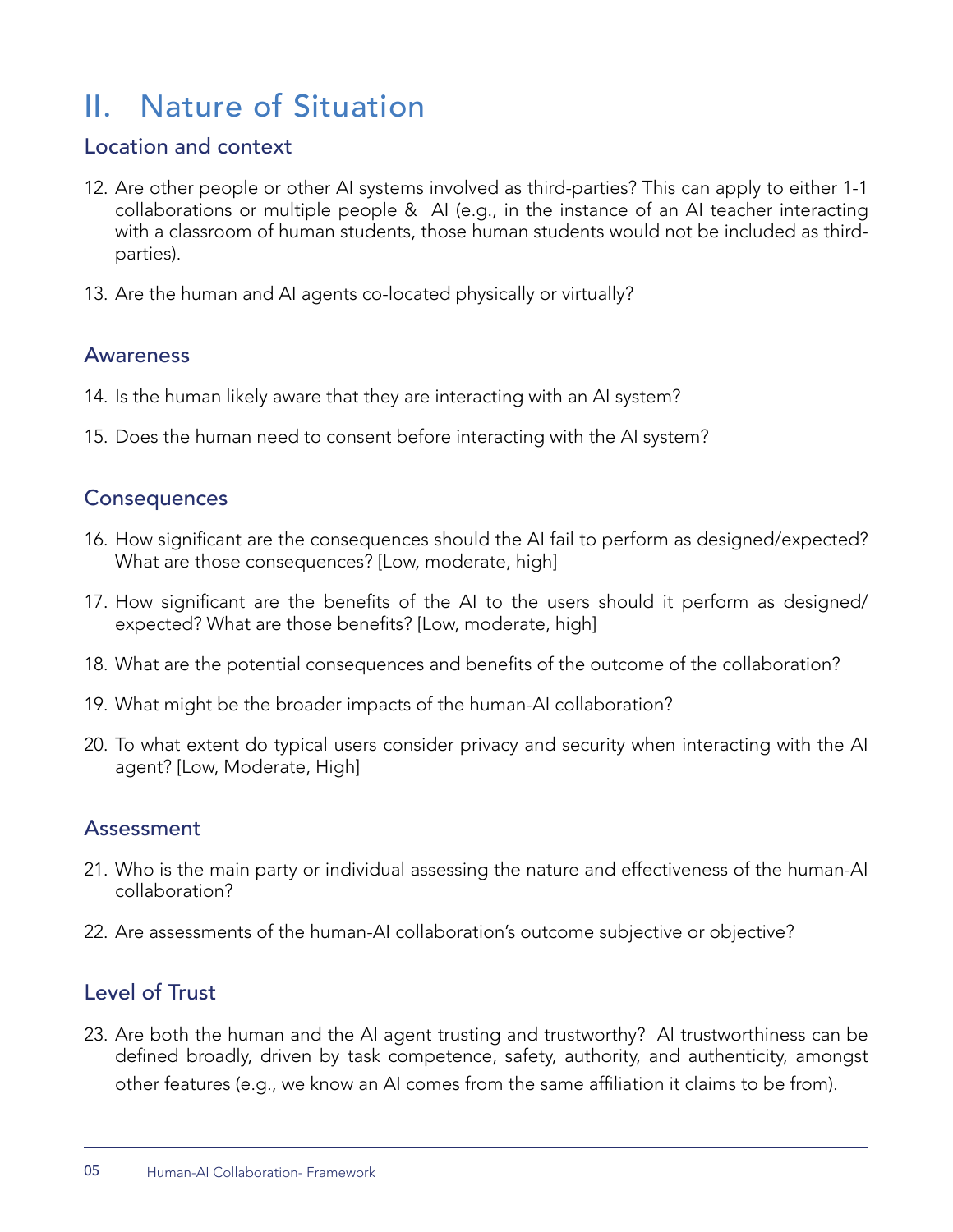## II. Nature of Situation

## Location and context

- 12. Are other people or other AI systems involved as third-parties? This can apply to either 1-1 collaborations or multiple people & AI (e.g., in the instance of an AI teacher interacting with a classroom of human students, those human students would not be included as thirdparties).
- 13. Are the human and AI agents co-located physically or virtually?

### Awareness

- 14. Is the human likely aware that they are interacting with an AI system?
- 15. Does the human need to consent before interacting with the AI system?

## **Consequences**

- 16. How significant are the consequences should the AI fail to perform as designed/expected? What are those consequences? [Low, moderate, high]
- 17. How significant are the benefits of the AI to the users should it perform as designed/ expected? What are those benefits? [Low, moderate, high]
- 18. What are the potential consequences and benefits of the outcome of the collaboration?
- 19. What might be the broader impacts of the human-AI collaboration?
- 20. To what extent do typical users consider privacy and security when interacting with the AI agent? [Low, Moderate, High]

## Assessment

- 21. Who is the main party or individual assessing the nature and effectiveness of the human-AI collaboration?
- 22. Are assessments of the human-AI collaboration's outcome subjective or objective?

## Level of Trust

23. Are both the human and the AI agent trusting and trustworthy? AI trustworthiness can be defined broadly, driven by task competence, safety, authority, and authenticity, amongst other features (e.g., we know an AI comes from the same affiliation it claims to be from).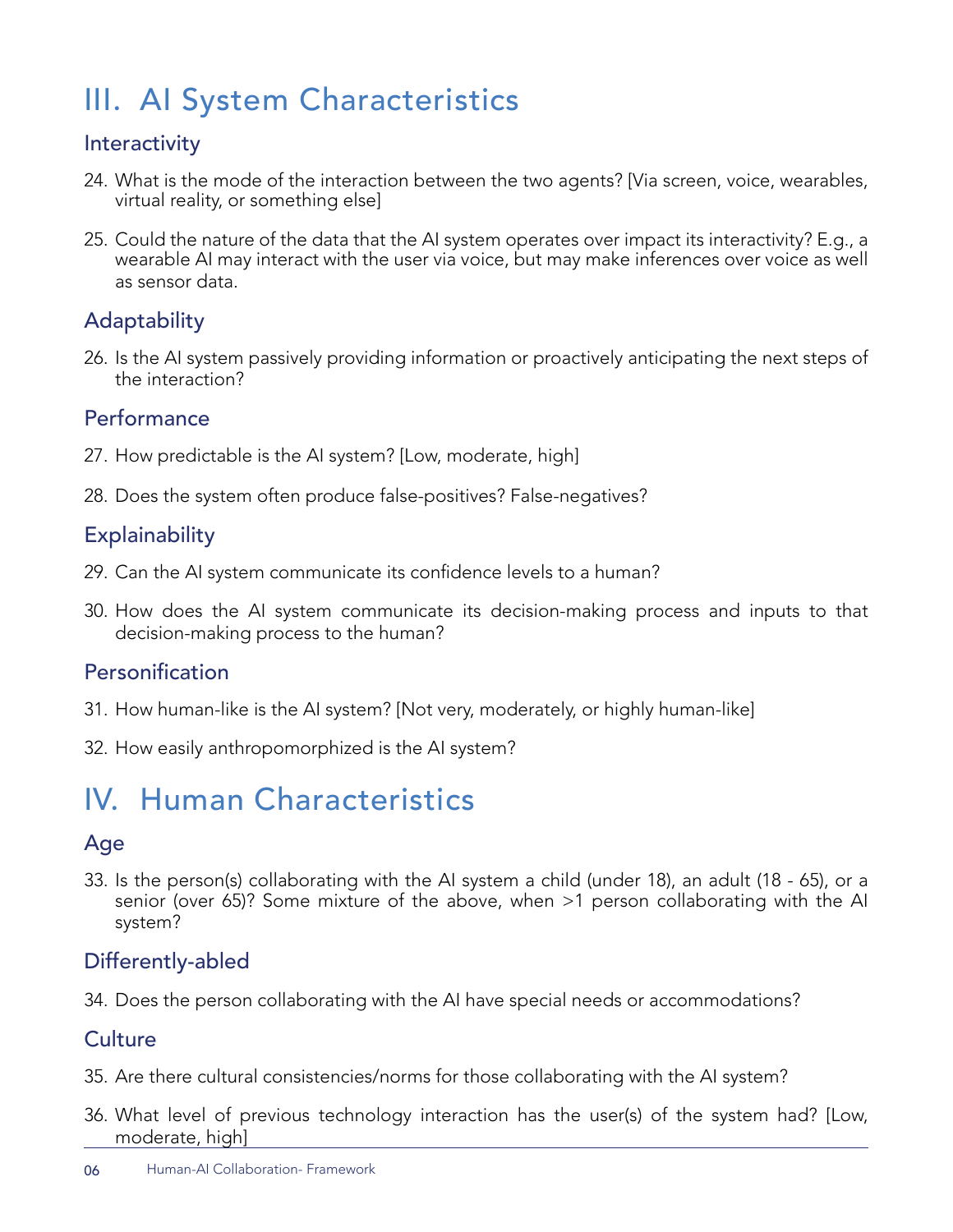# III. AI System Characteristics

## **Interactivity**

- 24. What is the mode of the interaction between the two agents? [Via screen, voice, wearables, virtual reality, or something else]
- 25. Could the nature of the data that the AI system operates over impact its interactivity? E.g., a wearable AI may interact with the user via voice, but may make inferences over voice as well as sensor data.

## **Adaptability**

26. Is the AI system passively providing information or proactively anticipating the next steps of the interaction?

## **Performance**

- 27. How predictable is the AI system? [Low, moderate, high]
- 28. Does the system often produce false-positives? False-negatives?

## **Explainability**

- 29. Can the AI system communicate its confidence levels to a human?
- 30. How does the AI system communicate its decision-making process and inputs to that decision-making process to the human?

## Personification

- 31. How human-like is the AI system? [Not very, moderately, or highly human-like]
- 32. How easily anthropomorphized is the AI system?

# IV. Human Characteristics

## Age

33. Is the person(s) collaborating with the AI system a child (under 18), an adult (18 - 65), or a senior (over 65)? Some mixture of the above, when >1 person collaborating with the AI system?

## Differently-abled

34. Does the person collaborating with the AI have special needs or accommodations?

## Culture

- 35. Are there cultural consistencies/norms for those collaborating with the AI system?
- 36. What level of previous technology interaction has the user(s) of the system had? [Low, moderate, high]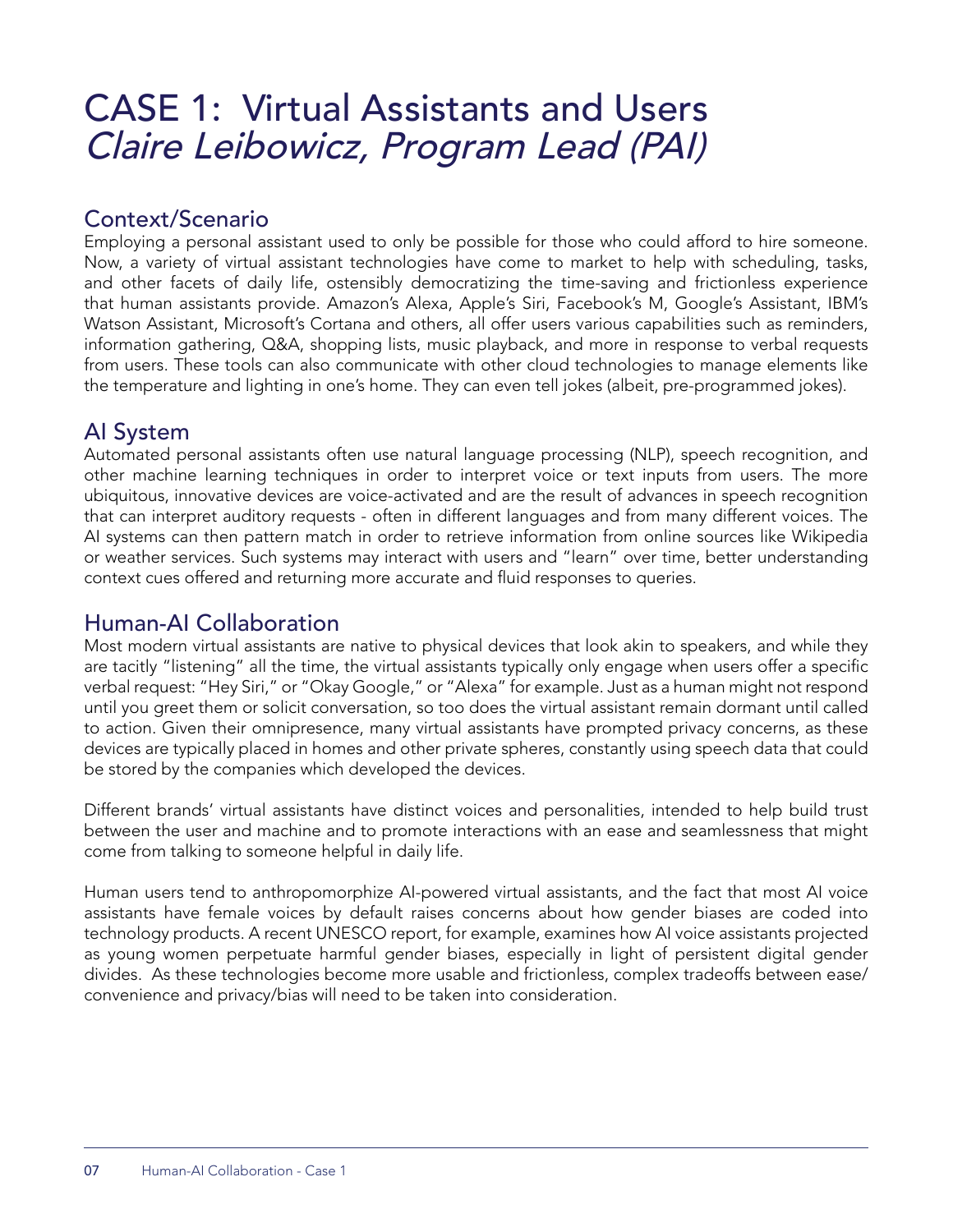# CASE 1: Virtual Assistants and Users Claire Leibowicz, Program Lead (PAI)

## Context/Scenario

Employing a personal assistant used to only be possible for those who could afford to hire someone. Now, a variety of virtual assistant technologies have come to market to help with scheduling, tasks, and other facets of daily life, ostensibly democratizing the time-saving and frictionless experience that human assistants provide. Amazon's Alexa, Apple's Siri, Facebook's M, Google's Assistant, IBM's Watson Assistant, Microsoft's Cortana and others, all offer users various capabilities such as reminders, information gathering, Q&A, shopping lists, music playback, and more in response to verbal requests from users. These tools can also communicate with other cloud technologies to manage elements like the temperature and lighting in one's home. They can even tell jokes (albeit, pre-programmed jokes).

## AI System

Automated personal assistants often use natural language processing (NLP), speech recognition, and other machine learning techniques in order to interpret voice or text inputs from users. The more ubiquitous, innovative devices are voice-activated and are the result of advances in speech recognition that can interpret auditory requests - often in different languages and from many different voices. The AI systems can then pattern match in order to retrieve information from online sources like Wikipedia or weather services. Such systems may interact with users and "learn" over time, better understanding context cues offered and returning more accurate and fluid responses to queries.

## Human-AI Collaboration

Most modern virtual assistants are native to physical devices that look akin to speakers, and while they are tacitly "listening" all the time, the virtual assistants typically only engage when users offer a specific verbal request: "Hey Siri," or "Okay Google," or "Alexa" for example. Just as a human might not respond until you greet them or solicit conversation, so too does the virtual assistant remain dormant until called to action. Given their omnipresence, many virtual assistants have prompted privacy concerns, as these devices are typically placed in homes and other private spheres, constantly using speech data that could be stored by the companies which developed the devices.

Different brands' virtual assistants have distinct voices and personalities, intended to help build trust between the user and machine and to promote interactions with an ease and seamlessness that might come from talking to someone helpful in daily life.

Human users tend to anthropomorphize AI-powered virtual assistants, and the fact that most AI voice assistants have female voices by default raises concerns about how gender biases are coded into technology products. A recent UNESCO report, for example, examines how AI voice assistants projected as young women perpetuate harmful gender biases, especially in light of persistent digital gender divides. As these technologies become more usable and frictionless, complex tradeoffs between ease/ convenience and privacy/bias will need to be taken into consideration.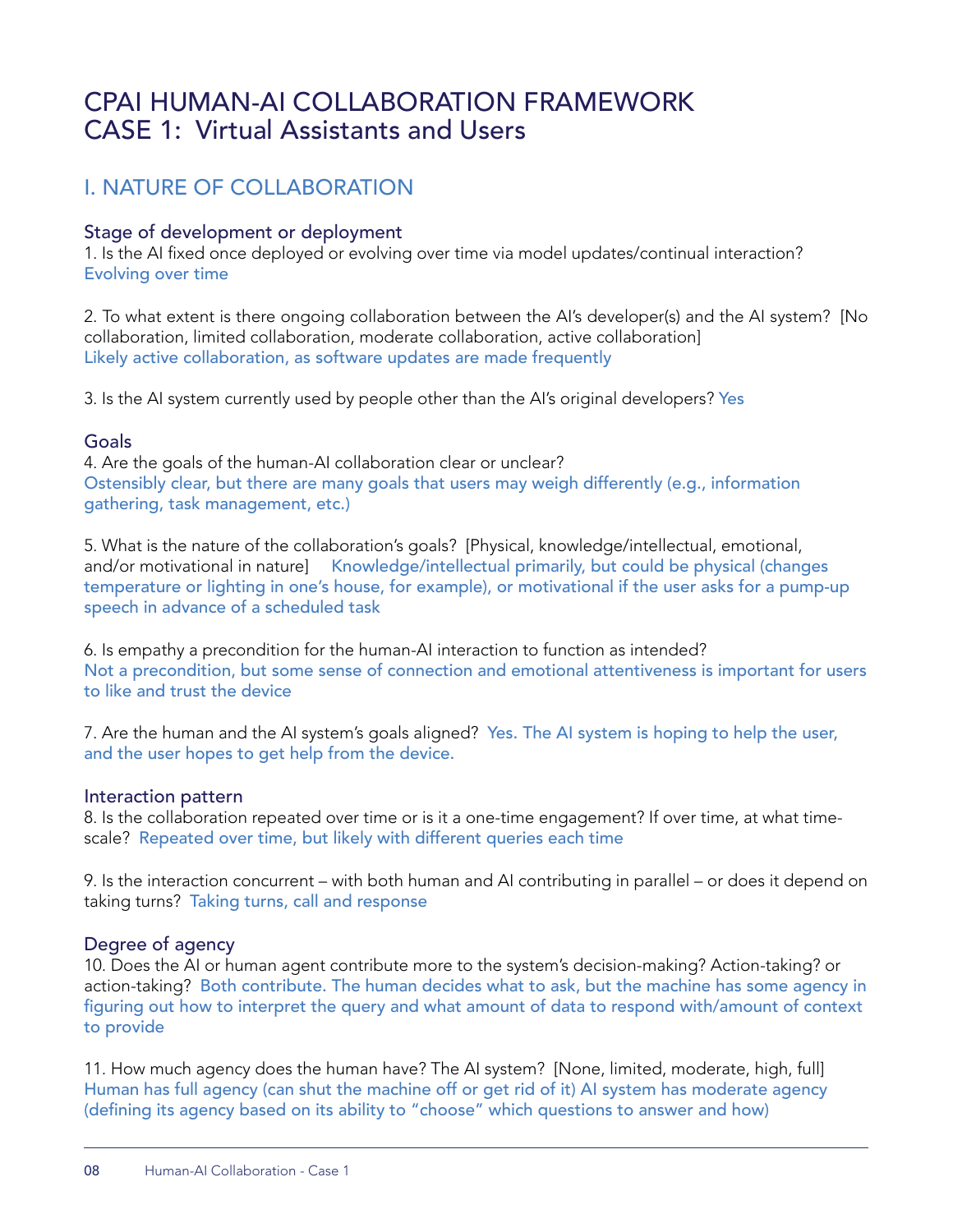## CPAI HUMAN-AI COLLABORATION FRAMEWORK CASE 1: Virtual Assistants and Users

## I. NATURE OF COLLABORATION

#### Stage of development or deployment

1. Is the AI fixed once deployed or evolving over time via model updates/continual interaction? Evolving over time

2. To what extent is there ongoing collaboration between the AI's developer(s) and the AI system? [No collaboration, limited collaboration, moderate collaboration, active collaboration] Likely active collaboration, as software updates are made frequently

3. Is the AI system currently used by people other than the AI's original developers? Yes

#### Goals

4. Are the goals of the human-AI collaboration clear or unclear? Ostensibly clear, but there are many goals that users may weigh differently (e.g., information gathering, task management, etc.)

5. What is the nature of the collaboration's goals? [Physical, knowledge/intellectual, emotional, and/or motivational in nature] Knowledge/intellectual primarily, but could be physical (changes temperature or lighting in one's house, for example), or motivational if the user asks for a pump-up speech in advance of a scheduled task

6. Is empathy a precondition for the human-AI interaction to function as intended? Not a precondition, but some sense of connection and emotional attentiveness is important for users to like and trust the device

7. Are the human and the AI system's goals aligned? Yes. The AI system is hoping to help the user, and the user hopes to get help from the device.

#### Interaction pattern

8. Is the collaboration repeated over time or is it a one-time engagement? If over time, at what timescale? Repeated over time, but likely with different queries each time

9. Is the interaction concurrent – with both human and AI contributing in parallel – or does it depend on taking turns? Taking turns, call and response

#### Degree of agency

10. Does the AI or human agent contribute more to the system's decision-making? Action-taking? or action-taking? Both contribute. The human decides what to ask, but the machine has some agency in figuring out how to interpret the query and what amount of data to respond with/amount of context to provide

11. How much agency does the human have? The AI system? [None, limited, moderate, high, full] Human has full agency (can shut the machine off or get rid of it) AI system has moderate agency (defining its agency based on its ability to "choose" which questions to answer and how)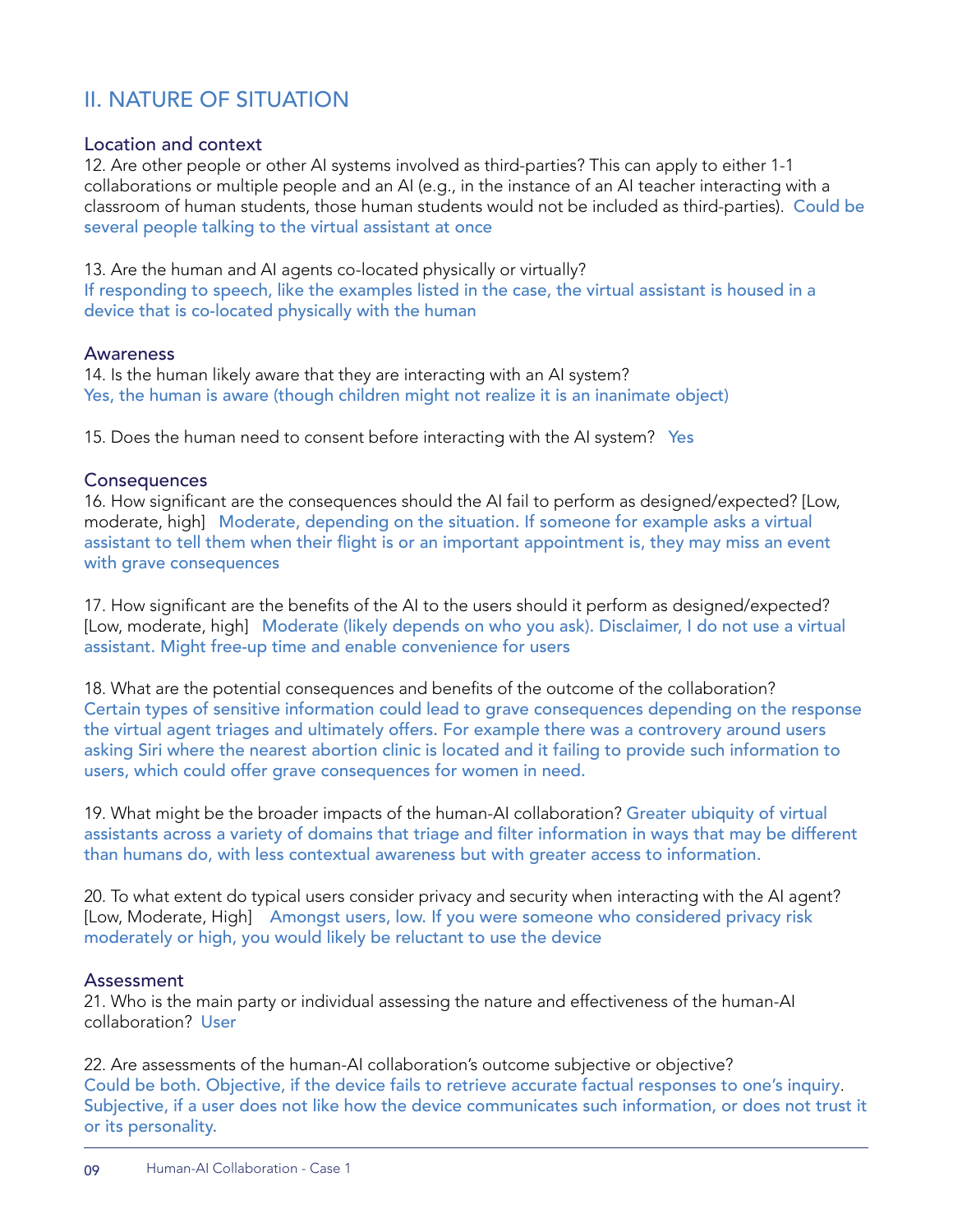## II. NATURE OF SITUATION

#### Location and context

12. Are other people or other AI systems involved as third-parties? This can apply to either 1-1 collaborations or multiple people and an AI (e.g., in the instance of an AI teacher interacting with a classroom of human students, those human students would not be included as third-parties). Could be several people talking to the virtual assistant at once

13. Are the human and AI agents co-located physically or virtually? If responding to speech, like the examples listed in the case, the virtual assistant is housed in a device that is co-located physically with the human

#### Awareness

14. Is the human likely aware that they are interacting with an AI system? Yes, the human is aware (though children might not realize it is an inanimate object)

15. Does the human need to consent before interacting with the AI system? Yes

#### **Consequences**

16. How significant are the consequences should the AI fail to perform as designed/expected? [Low, moderate, high] Moderate, depending on the situation. If someone for example asks a virtual assistant to tell them when their flight is or an important appointment is, they may miss an event with grave consequences

17. How significant are the benefits of the AI to the users should it perform as designed/expected? [Low, moderate, high] Moderate (likely depends on who you ask). Disclaimer, I do not use a virtual assistant. Might free-up time and enable convenience for users

18. What are the potential consequences and benefits of the outcome of the collaboration? Certain types of sensitive information could lead to grave consequences depending on the response the virtual agent triages and ultimately offers. For example there was a controvery around users asking Siri where the nearest abortion clinic is located and it failing to provide such information to users, which could offer grave consequences for women in need.

19. What might be the broader impacts of the human-AI collaboration? Greater ubiquity of virtual assistants across a variety of domains that triage and filter information in ways that may be different than humans do, with less contextual awareness but with greater access to information.

20. To what extent do typical users consider privacy and security when interacting with the AI agent? [Low, Moderate, High] Amongst users, low. If you were someone who considered privacy risk moderately or high, you would likely be reluctant to use the device

#### Assessment

21. Who is the main party or individual assessing the nature and effectiveness of the human-AI collaboration? User

22. Are assessments of the human-AI collaboration's outcome subjective or objective? Could be both. Objective, if the device fails to retrieve accurate factual responses to one's inquiry. Subjective, if a user does not like how the device communicates such information, or does not trust it or its personality.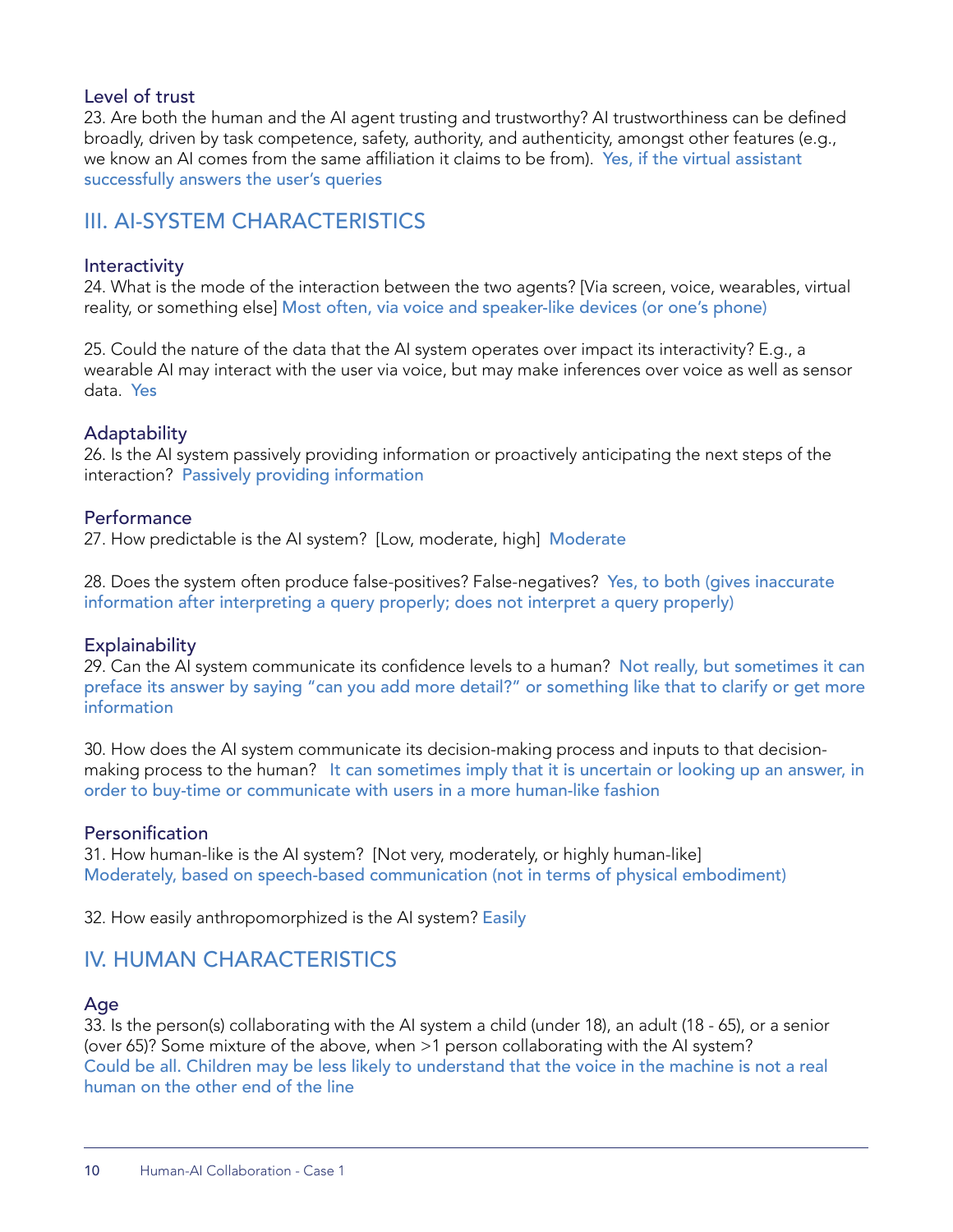#### Level of trust

23. Are both the human and the AI agent trusting and trustworthy? AI trustworthiness can be defined broadly, driven by task competence, safety, authority, and authenticity, amongst other features (e.g., we know an AI comes from the same affiliation it claims to be from). Yes, if the virtual assistant successfully answers the user's queries

## III. AI-SYSTEM CHARACTERISTICS

#### **Interactivity**

24. What is the mode of the interaction between the two agents? [Via screen, voice, wearables, virtual reality, or something else] Most often, via voice and speaker-like devices (or one's phone)

25. Could the nature of the data that the AI system operates over impact its interactivity? E.g., a wearable AI may interact with the user via voice, but may make inferences over voice as well as sensor data. Yes

#### Adaptability

26. Is the AI system passively providing information or proactively anticipating the next steps of the interaction? Passively providing information

#### **Performance**

27. How predictable is the AI system? [Low, moderate, high] Moderate

28. Does the system often produce false-positives? False-negatives? Yes, to both (gives inaccurate information after interpreting a query properly; does not interpret a query properly)

#### **Explainability**

29. Can the AI system communicate its confidence levels to a human? Not really, but sometimes it can preface its answer by saying "can you add more detail?" or something like that to clarify or get more information

30. How does the AI system communicate its decision-making process and inputs to that decisionmaking process to the human? It can sometimes imply that it is uncertain or looking up an answer, in order to buy-time or communicate with users in a more human-like fashion

#### Personification

31. How human-like is the AI system? [Not very, moderately, or highly human-like] Moderately, based on speech-based communication (not in terms of physical embodiment)

32. How easily anthropomorphized is the AI system? Easily

### IV. HUMAN CHARACTERISTICS

#### Age

33. Is the person(s) collaborating with the AI system a child (under 18), an adult (18 - 65), or a senior (over 65)? Some mixture of the above, when >1 person collaborating with the AI system? Could be all. Children may be less likely to understand that the voice in the machine is not a real human on the other end of the line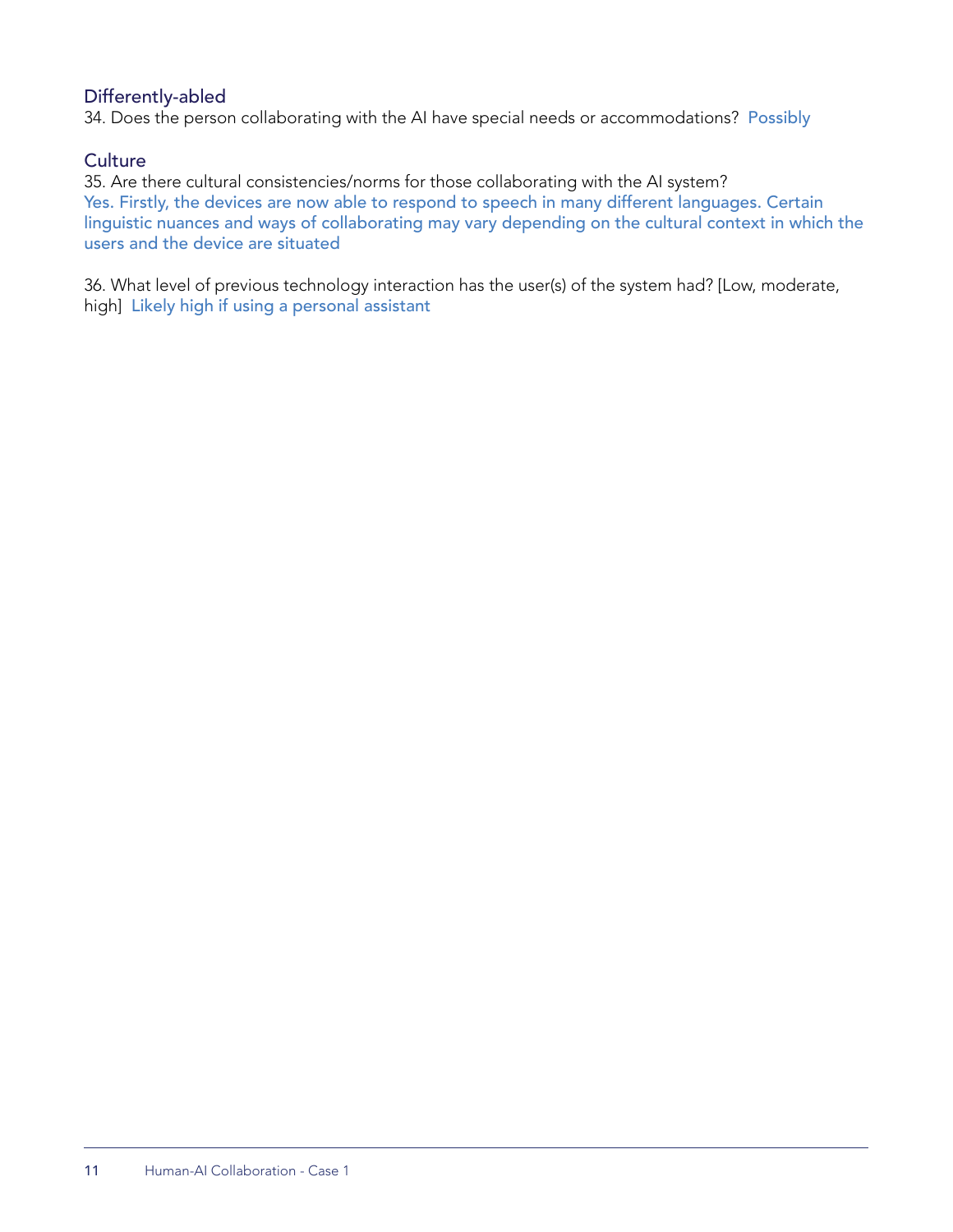#### Differently-abled

34. Does the person collaborating with the AI have special needs or accommodations? Possibly

#### **Culture**

35. Are there cultural consistencies/norms for those collaborating with the AI system? Yes. Firstly, the devices are now able to respond to speech in many different languages. Certain linguistic nuances and ways of collaborating may vary depending on the cultural context in which the users and the device are situated

36. What level of previous technology interaction has the user(s) of the system had? [Low, moderate, high] Likely high if using a personal assistant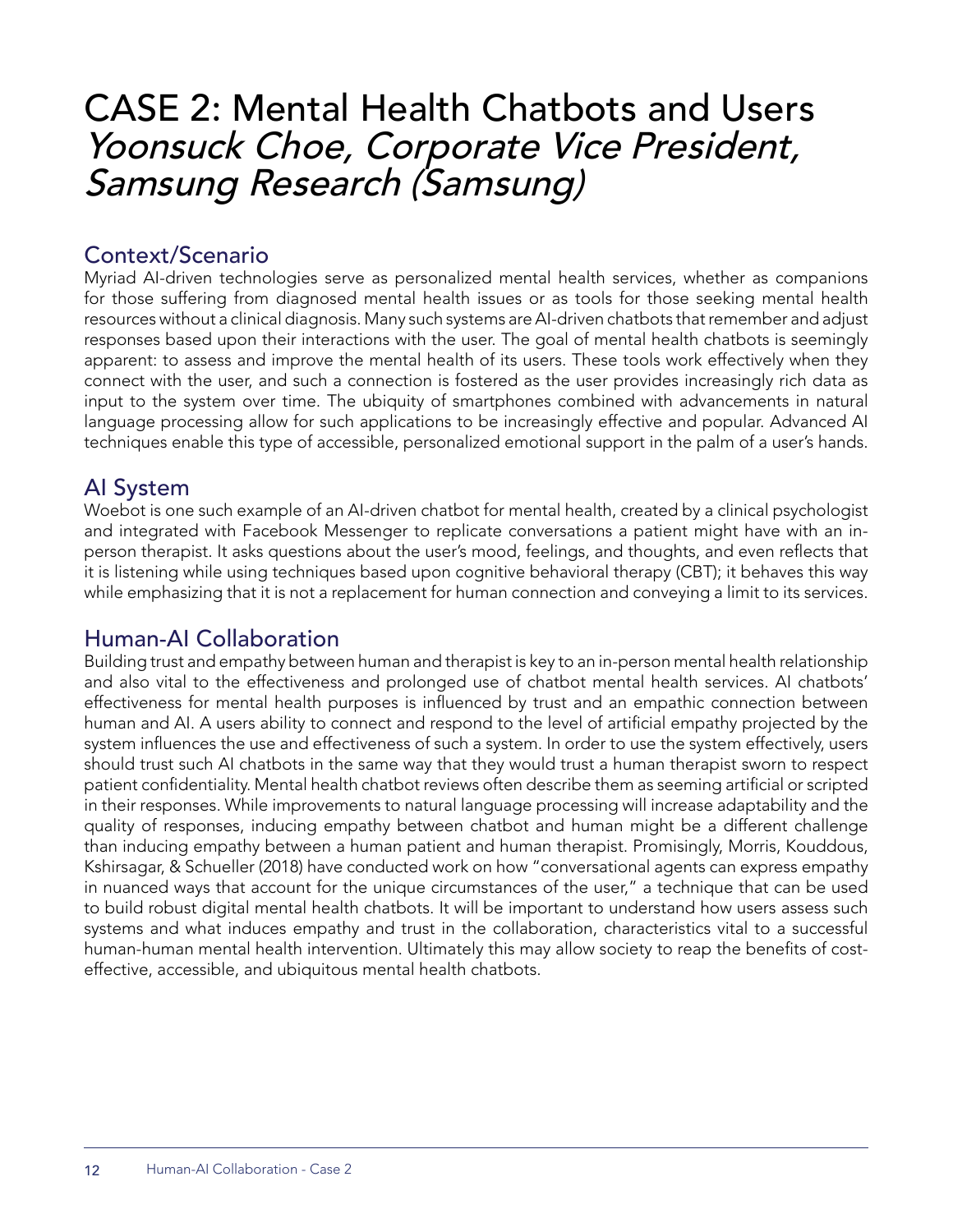## CASE 2: Mental Health Chatbots and Users Yoonsuck Choe, Corporate Vice President, Samsung Research (Samsung)

## Context/Scenario

Myriad AI-driven technologies serve as personalized mental health services, whether as companions for those suffering from diagnosed mental health issues or as tools for those seeking mental health resources without a clinical diagnosis. Many such systems are AI-driven chatbots that remember and adjust responses based upon their interactions with the user. The goal of mental health chatbots is seemingly apparent: to assess and improve the mental health of its users. These tools work effectively when they connect with the user, and such a connection is fostered as the user provides increasingly rich data as input to the system over time. The ubiquity of smartphones combined with advancements in natural language processing allow for such applications to be increasingly effective and popular. Advanced AI techniques enable this type of accessible, personalized emotional support in the palm of a user's hands.

## AI System

Woebot is one such example of an AI-driven chatbot for mental health, created by a clinical psychologist and integrated with Facebook Messenger to replicate conversations a patient might have with an inperson therapist. It asks questions about the user's mood, feelings, and thoughts, and even reflects that it is listening while using techniques based upon cognitive behavioral therapy (CBT); it behaves this way while emphasizing that it is not a replacement for human connection and conveying a limit to its services.

## Human-AI Collaboration

Building trust and empathy between human and therapist is key to an in-person mental health relationship and also vital to the effectiveness and prolonged use of chatbot mental health services. AI chatbots' effectiveness for mental health purposes is influenced by trust and an empathic connection between human and AI. A users ability to connect and respond to the level of artificial empathy projected by the system influences the use and effectiveness of such a system. In order to use the system effectively, users should trust such AI chatbots in the same way that they would trust a human therapist sworn to respect patient confidentiality. Mental health chatbot reviews often describe them as seeming artificial or scripted in their responses. While improvements to natural language processing will increase adaptability and the quality of responses, inducing empathy between chatbot and human might be a different challenge than inducing empathy between a human patient and human therapist. Promisingly, Morris, Kouddous, Kshirsagar, & Schueller (2018) have conducted work on how "conversational agents can express empathy in nuanced ways that account for the unique circumstances of the user," a technique that can be used to build robust digital mental health chatbots. It will be important to understand how users assess such systems and what induces empathy and trust in the collaboration, characteristics vital to a successful human-human mental health intervention. Ultimately this may allow society to reap the benefits of costeffective, accessible, and ubiquitous mental health chatbots.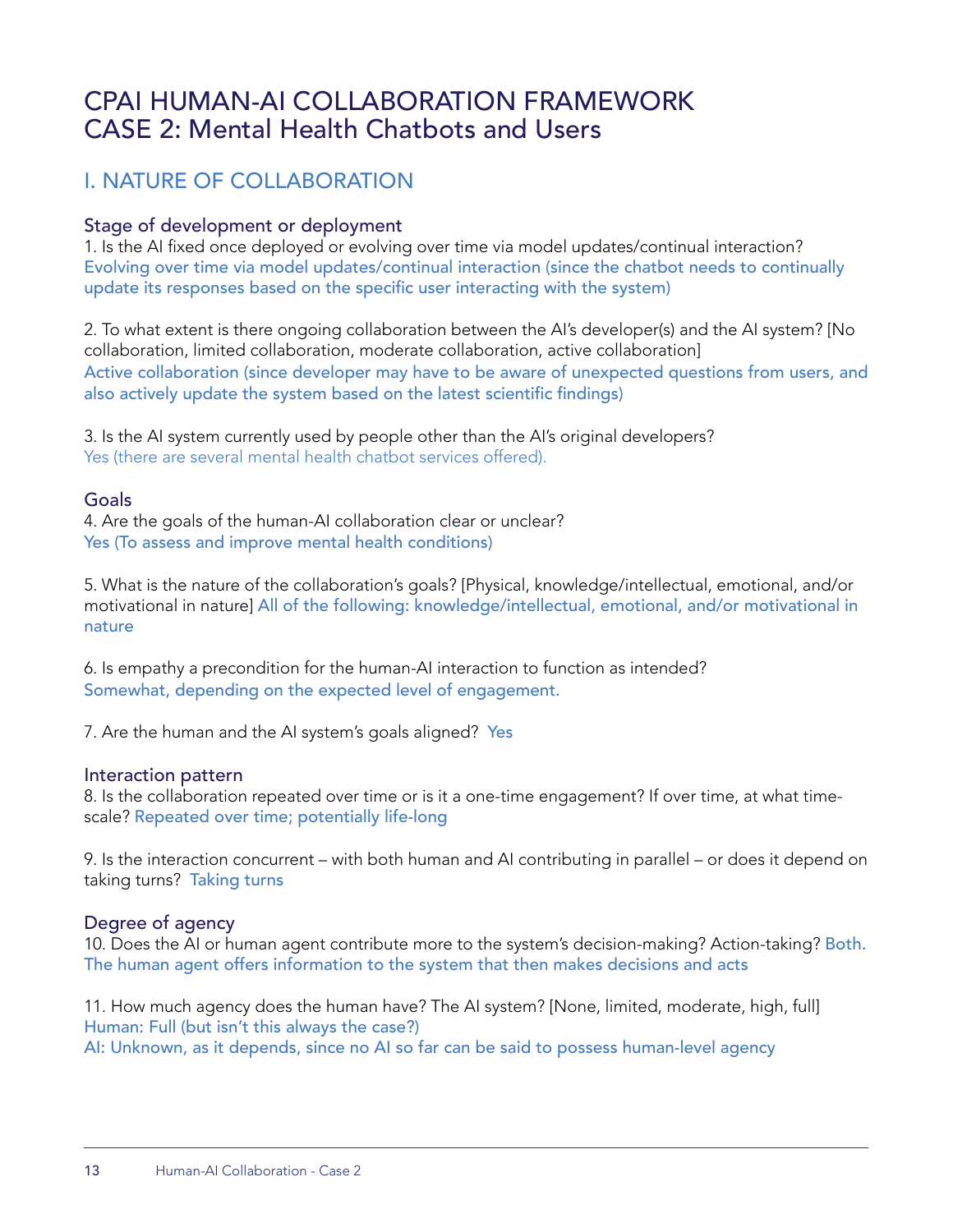## CPAI HUMAN-AI COLLABORATION FRAMEWORK CASE 2: Mental Health Chatbots and Users

## I. NATURE OF COLLABORATION

#### Stage of development or deployment

1. Is the AI fixed once deployed or evolving over time via model updates/continual interaction? Evolving over time via model updates/continual interaction (since the chatbot needs to continually update its responses based on the specific user interacting with the system)

2. To what extent is there ongoing collaboration between the AI's developer(s) and the AI system? [No collaboration, limited collaboration, moderate collaboration, active collaboration] Active collaboration (since developer may have to be aware of unexpected questions from users, and also actively update the system based on the latest scientific findings)

3. Is the AI system currently used by people other than the AI's original developers? Yes (there are several mental health chatbot services offered).

#### Goals

4. Are the goals of the human-AI collaboration clear or unclear? Yes (To assess and improve mental health conditions)

5. What is the nature of the collaboration's goals? [Physical, knowledge/intellectual, emotional, and/or motivational in nature] All of the following: knowledge/intellectual, emotional, and/or motivational in nature

6. Is empathy a precondition for the human-AI interaction to function as intended? Somewhat, depending on the expected level of engagement.

7. Are the human and the AI system's goals aligned? Yes

#### Interaction pattern

8. Is the collaboration repeated over time or is it a one-time engagement? If over time, at what timescale? Repeated over time; potentially life-long

9. Is the interaction concurrent – with both human and AI contributing in parallel – or does it depend on taking turns? Taking turns

#### Degree of agency

10. Does the AI or human agent contribute more to the system's decision-making? Action-taking? Both. The human agent offers information to the system that then makes decisions and acts

11. How much agency does the human have? The AI system? [None, limited, moderate, high, full] Human: Full (but isn't this always the case?) AI: Unknown, as it depends, since no AI so far can be said to possess human-level agency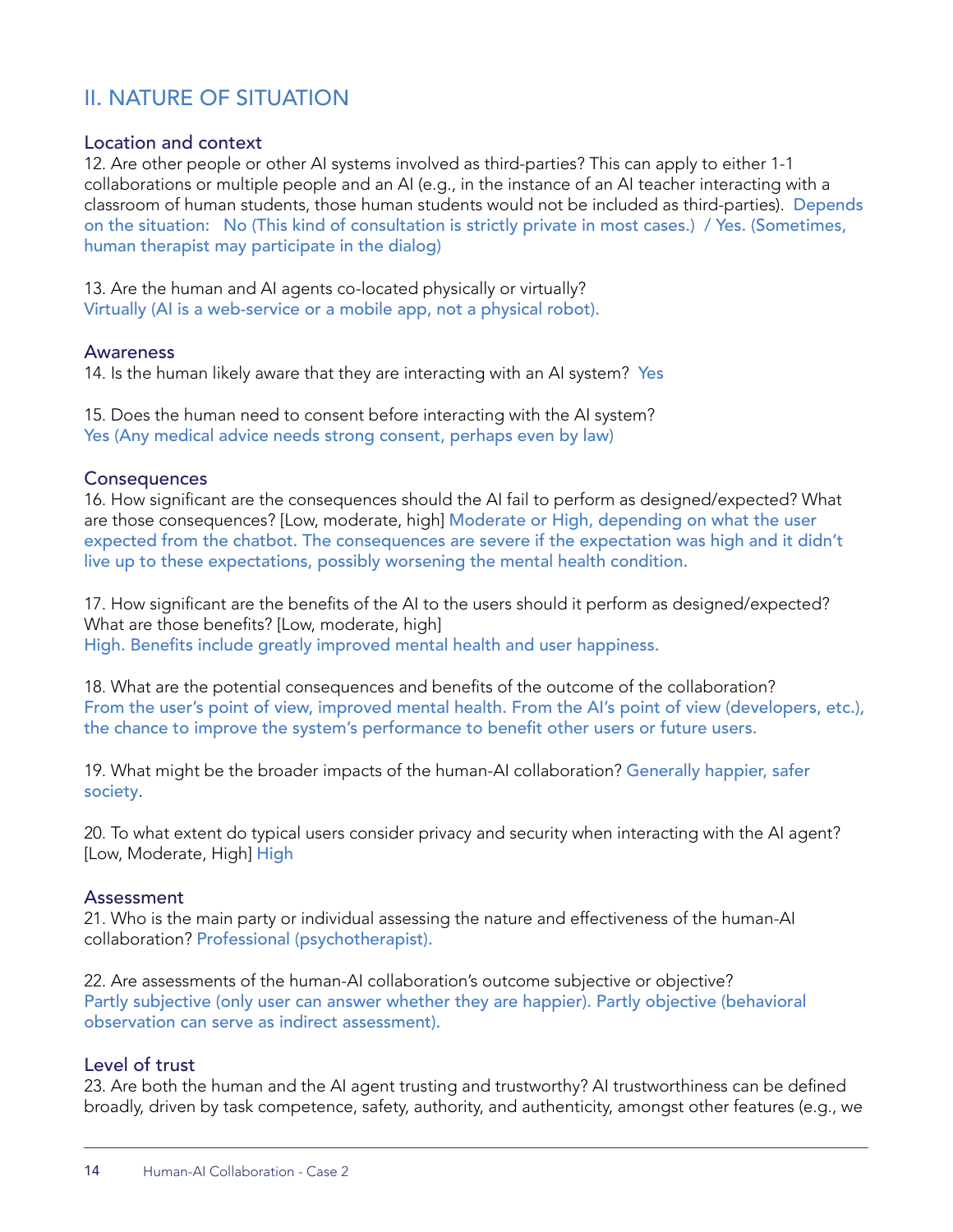## II. NATURE OF SITUATION

#### Location and context

12. Are other people or other AI systems involved as third-parties? This can apply to either 1-1 collaborations or multiple people and an AI (e.g., in the instance of an AI teacher interacting with a classroom of human students, those human students would not be included as third-parties). Depends on the situation: No (This kind of consultation is strictly private in most cases.) / Yes. (Sometimes, human therapist may participate in the dialog)

13. Are the human and AI agents co-located physically or virtually? Virtually (AI is a web-service or a mobile app, not a physical robot).

#### Awareness

14. Is the human likely aware that they are interacting with an AI system? Yes

15. Does the human need to consent before interacting with the AI system? Yes (Any medical advice needs strong consent, perhaps even by law)

#### **Consequences**

16. How significant are the consequences should the AI fail to perform as designed/expected? What are those consequences? [Low, moderate, high] Moderate or High, depending on what the user expected from the chatbot. The consequences are severe if the expectation was high and it didn't live up to these expectations, possibly worsening the mental health condition.

17. How significant are the benefits of the AI to the users should it perform as designed/expected? What are those benefits? [Low, moderate, high] High. Benefits include greatly improved mental health and user happiness.

18. What are the potential consequences and benefits of the outcome of the collaboration? From the user's point of view, improved mental health. From the AI's point of view (developers, etc.), the chance to improve the system's performance to benefit other users or future users.

19. What might be the broader impacts of the human-AI collaboration? Generally happier, safer society.

20. To what extent do typical users consider privacy and security when interacting with the AI agent? [Low, Moderate, High] High

#### Assessment

21. Who is the main party or individual assessing the nature and effectiveness of the human-AI collaboration? Professional (psychotherapist).

22. Are assessments of the human-AI collaboration's outcome subjective or objective? Partly subjective (only user can answer whether they are happier). Partly objective (behavioral observation can serve as indirect assessment).

#### Level of trust

23. Are both the human and the AI agent trusting and trustworthy? AI trustworthiness can be defined broadly, driven by task competence, safety, authority, and authenticity, amongst other features (e.g., we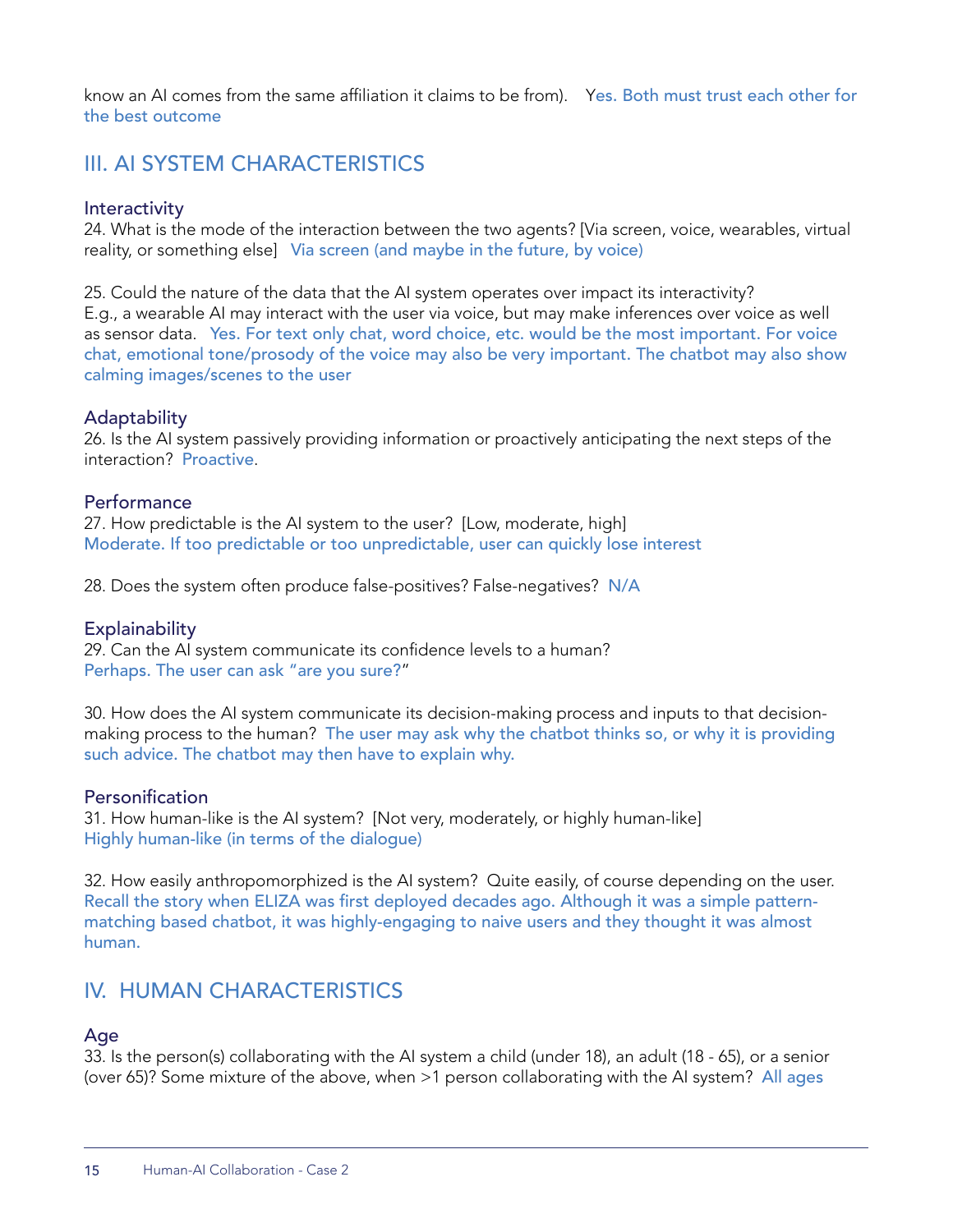know an AI comes from the same affiliation it claims to be from). Yes. Both must trust each other for the best outcome

## III. AI SYSTEM CHARACTERISTICS

#### **Interactivity**

24. What is the mode of the interaction between the two agents? [Via screen, voice, wearables, virtual reality, or something else] Via screen (and maybe in the future, by voice)

25. Could the nature of the data that the AI system operates over impact its interactivity? E.g., a wearable AI may interact with the user via voice, but may make inferences over voice as well as sensor data. Yes. For text only chat, word choice, etc. would be the most important. For voice chat, emotional tone/prosody of the voice may also be very important. The chatbot may also show calming images/scenes to the user

#### **Adaptability**

26. Is the AI system passively providing information or proactively anticipating the next steps of the interaction? Proactive.

#### **Performance**

27. How predictable is the AI system to the user? [Low, moderate, high] Moderate. If too predictable or too unpredictable, user can quickly lose interest

28. Does the system often produce false-positives? False-negatives? N/A

#### **Explainability**

29. Can the AI system communicate its confidence levels to a human? Perhaps. The user can ask "are you sure?"

30. How does the AI system communicate its decision-making process and inputs to that decisionmaking process to the human? The user may ask why the chatbot thinks so, or why it is providing such advice. The chatbot may then have to explain why.

#### Personification

31. How human-like is the AI system? [Not very, moderately, or highly human-like] Highly human-like (in terms of the dialogue)

32. How easily anthropomorphized is the AI system? Quite easily, of course depending on the user. Recall the story when ELIZA was first deployed decades ago. Although it was a simple patternmatching based chatbot, it was highly-engaging to naive users and they thought it was almost human.

#### IV. HUMAN CHARACTERISTICS

#### Age

33. Is the person(s) collaborating with the AI system a child (under 18), an adult (18 - 65), or a senior (over 65)? Some mixture of the above, when >1 person collaborating with the AI system? All ages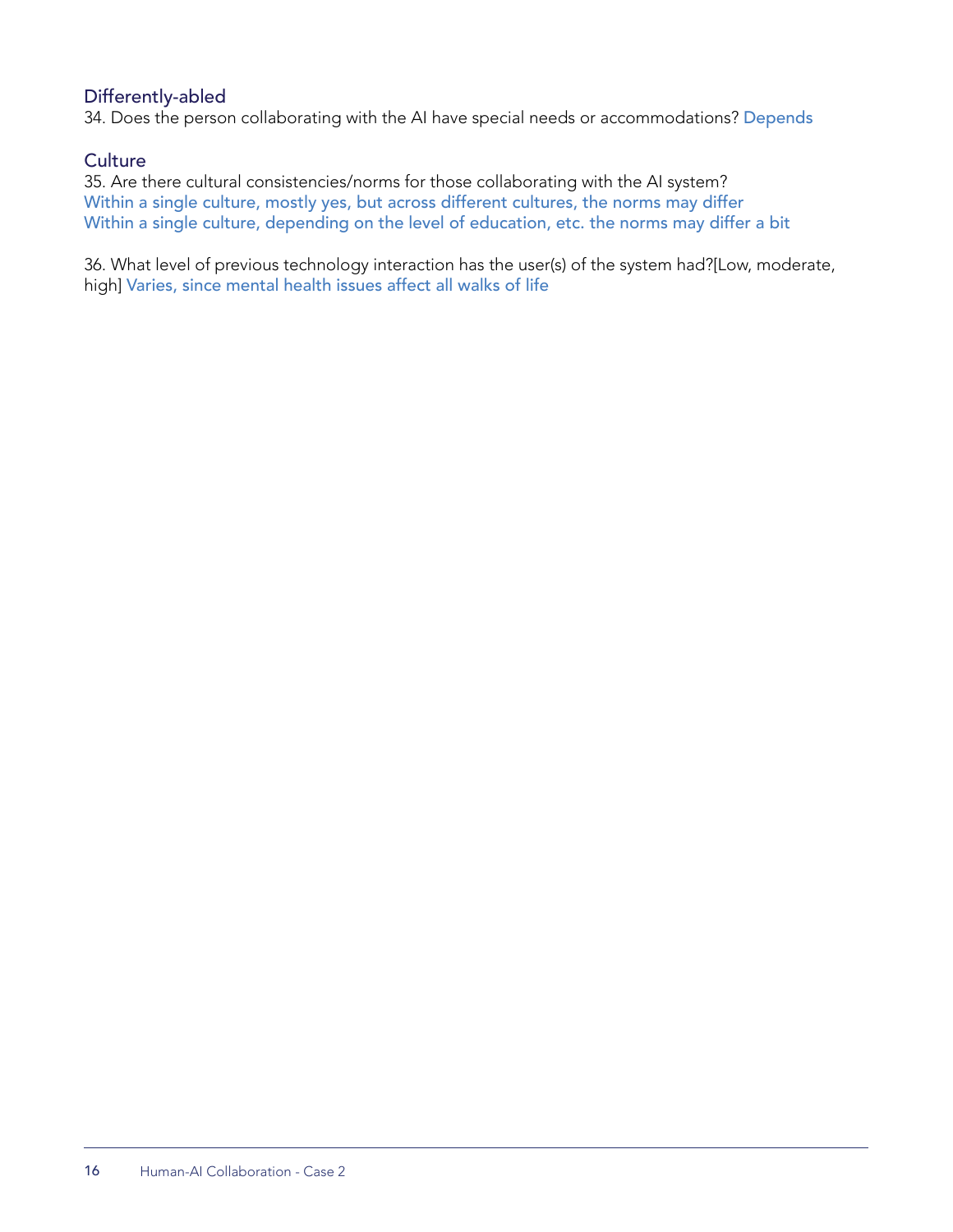#### Differently-abled

34. Does the person collaborating with the AI have special needs or accommodations? Depends

#### **Culture**

35. Are there cultural consistencies/norms for those collaborating with the AI system? Within a single culture, mostly yes, but across different cultures, the norms may differ Within a single culture, depending on the level of education, etc. the norms may differ a bit

36. What level of previous technology interaction has the user(s) of the system had?[Low, moderate, high] Varies, since mental health issues affect all walks of life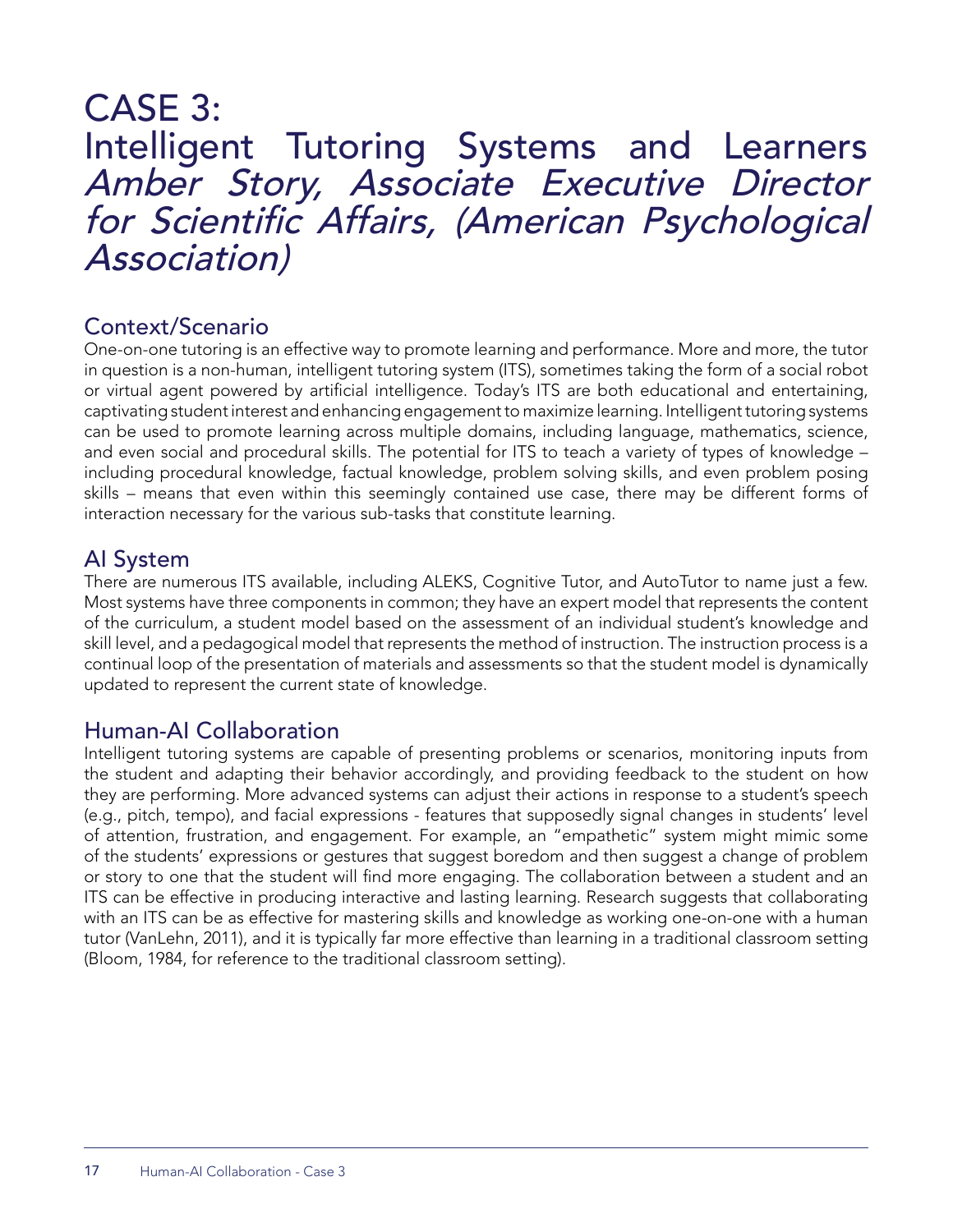## CASE 3: Intelligent Tutoring Systems and Learners Amber Story, Associate Executive Director for Scientific Affairs, (American Psychological Association)

## Context/Scenario

One-on-one tutoring is an effective way to promote learning and performance. More and more, the tutor in question is a non-human, intelligent tutoring system (ITS), sometimes taking the form of a social robot or virtual agent powered by artificial intelligence. Today's ITS are both educational and entertaining, captivating student interest and enhancing engagement to maximize learning. Intelligent tutoring systems can be used to promote learning across multiple domains, including language, mathematics, science, and even social and procedural skills. The potential for ITS to teach a variety of types of knowledge – including procedural knowledge, factual knowledge, problem solving skills, and even problem posing skills – means that even within this seemingly contained use case, there may be different forms of interaction necessary for the various sub-tasks that constitute learning.

## AI System

There are numerous ITS available, including ALEKS, Cognitive Tutor, and AutoTutor to name just a few. Most systems have three components in common; they have an expert model that represents the content of the curriculum, a student model based on the assessment of an individual student's knowledge and skill level, and a pedagogical model that represents the method of instruction. The instruction process is a continual loop of the presentation of materials and assessments so that the student model is dynamically updated to represent the current state of knowledge.

## Human-AI Collaboration

Intelligent tutoring systems are capable of presenting problems or scenarios, monitoring inputs from the student and adapting their behavior accordingly, and providing feedback to the student on how they are performing. More advanced systems can adjust their actions in response to a student's speech (e.g., pitch, tempo), and facial expressions - features that supposedly signal changes in students' level of attention, frustration, and engagement. For example, an "empathetic" system might mimic some of the students' expressions or gestures that suggest boredom and then suggest a change of problem or story to one that the student will find more engaging. The collaboration between a student and an ITS can be effective in producing interactive and lasting learning. Research suggests that collaborating with an ITS can be as effective for mastering skills and knowledge as working one-on-one with a human tutor (VanLehn, 2011), and it is typically far more effective than learning in a traditional classroom setting (Bloom, 1984, for reference to the traditional classroom setting).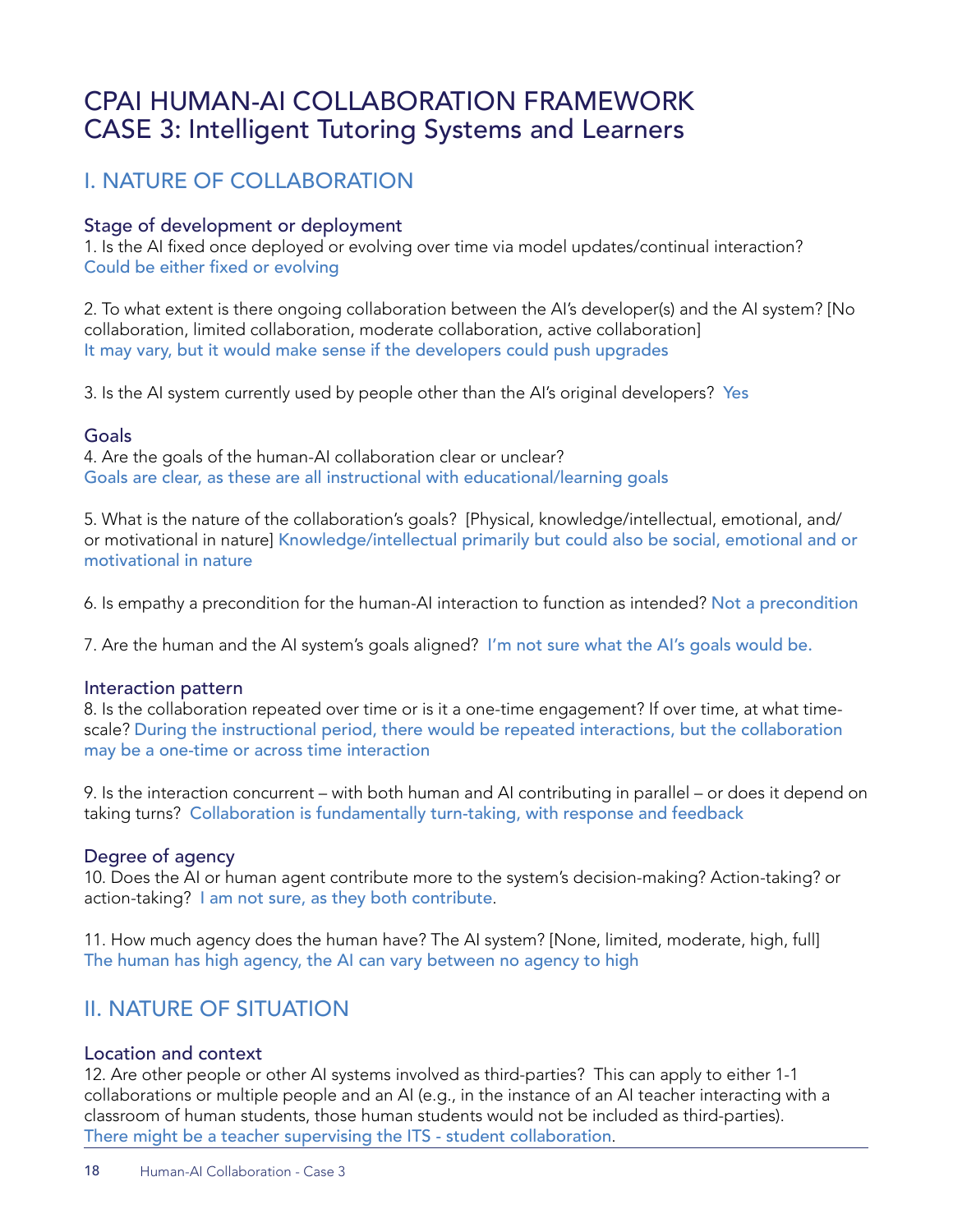## CPAI HUMAN-AI COLLABORATION FRAMEWORK CASE 3: Intelligent Tutoring Systems and Learners

## I. NATURE OF COLLABORATION

#### Stage of development or deployment

1. Is the AI fixed once deployed or evolving over time via model updates/continual interaction? Could be either fixed or evolving

2. To what extent is there ongoing collaboration between the AI's developer(s) and the AI system? [No collaboration, limited collaboration, moderate collaboration, active collaboration] It may vary, but it would make sense if the developers could push upgrades

3. Is the AI system currently used by people other than the AI's original developers? Yes

#### Goals

4. Are the goals of the human-AI collaboration clear or unclear? Goals are clear, as these are all instructional with educational/learning goals

5. What is the nature of the collaboration's goals? [Physical, knowledge/intellectual, emotional, and/ or motivational in nature] Knowledge/intellectual primarily but could also be social, emotional and or motivational in nature

6. Is empathy a precondition for the human-AI interaction to function as intended? Not a precondition

7. Are the human and the AI system's goals aligned? I'm not sure what the AI's goals would be.

#### Interaction pattern

8. Is the collaboration repeated over time or is it a one-time engagement? If over time, at what timescale? During the instructional period, there would be repeated interactions, but the collaboration may be a one-time or across time interaction

9. Is the interaction concurrent – with both human and AI contributing in parallel – or does it depend on taking turns? Collaboration is fundamentally turn-taking, with response and feedback

#### Degree of agency

10. Does the AI or human agent contribute more to the system's decision-making? Action-taking? or action-taking? I am not sure, as they both contribute.

11. How much agency does the human have? The AI system? [None, limited, moderate, high, full] The human has high agency, the AI can vary between no agency to high

## II. NATURE OF SITUATION

#### Location and context

12. Are other people or other AI systems involved as third-parties? This can apply to either 1-1 collaborations or multiple people and an AI (e.g., in the instance of an AI teacher interacting with a classroom of human students, those human students would not be included as third-parties). There might be a teacher supervising the ITS - student collaboration.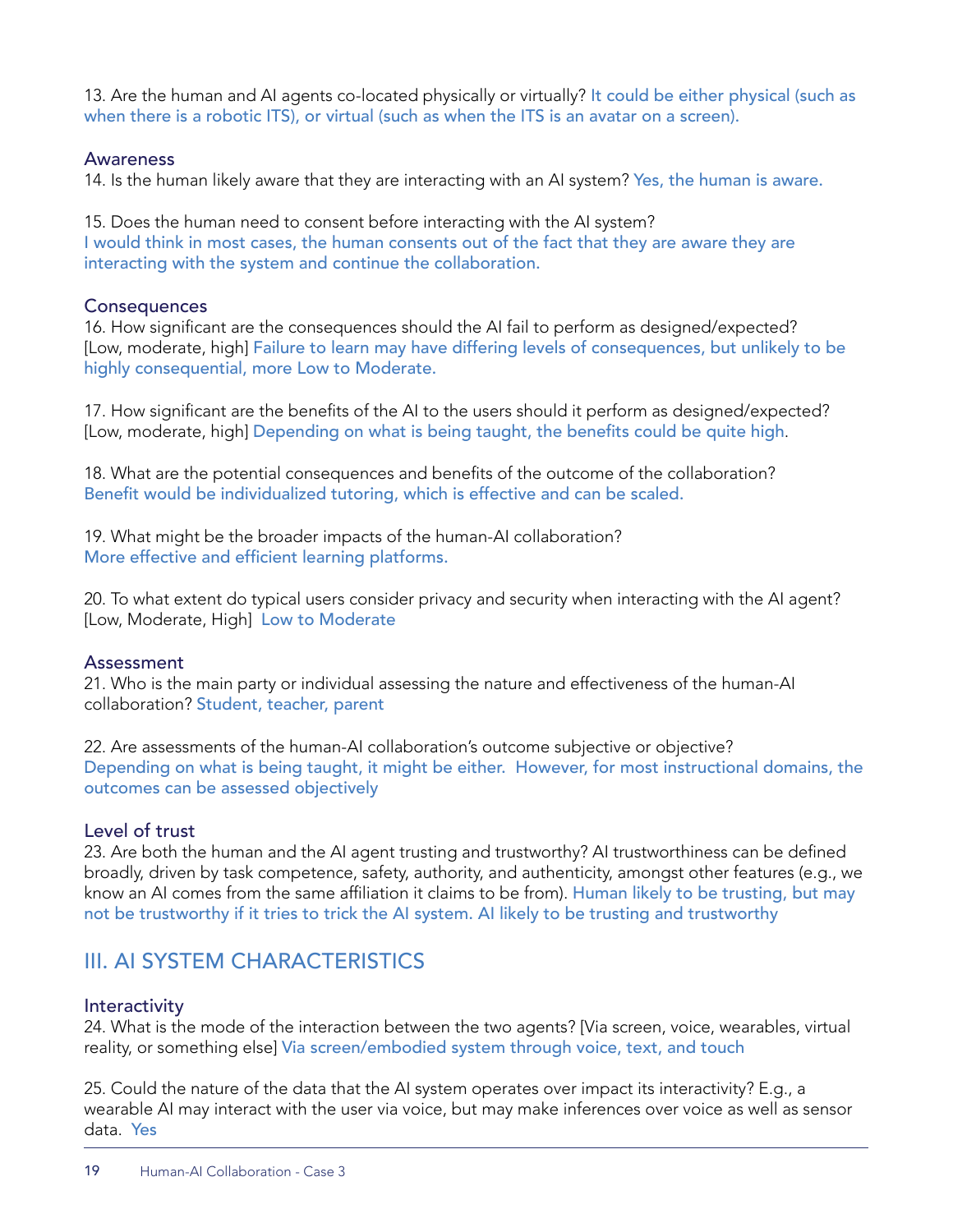13. Are the human and AI agents co-located physically or virtually? It could be either physical (such as when there is a robotic ITS), or virtual (such as when the ITS is an avatar on a screen).

#### Awareness

14. Is the human likely aware that they are interacting with an AI system? Yes, the human is aware.

15. Does the human need to consent before interacting with the AI system? I would think in most cases, the human consents out of the fact that they are aware they are interacting with the system and continue the collaboration.

#### **Consequences**

16. How significant are the consequences should the AI fail to perform as designed/expected? [Low, moderate, high] Failure to learn may have differing levels of consequences, but unlikely to be highly consequential, more Low to Moderate.

17. How significant are the benefits of the AI to the users should it perform as designed/expected? [Low, moderate, high] Depending on what is being taught, the benefits could be quite high.

18. What are the potential consequences and benefits of the outcome of the collaboration? Benefit would be individualized tutoring, which is effective and can be scaled.

19. What might be the broader impacts of the human-AI collaboration? More effective and efficient learning platforms.

20. To what extent do typical users consider privacy and security when interacting with the AI agent? [Low, Moderate, High] Low to Moderate

#### Assessment

21. Who is the main party or individual assessing the nature and effectiveness of the human-AI collaboration? Student, teacher, parent

22. Are assessments of the human-AI collaboration's outcome subjective or objective? Depending on what is being taught, it might be either. However, for most instructional domains, the outcomes can be assessed objectively

#### Level of trust

23. Are both the human and the AI agent trusting and trustworthy? AI trustworthiness can be defined broadly, driven by task competence, safety, authority, and authenticity, amongst other features (e.g., we know an AI comes from the same affiliation it claims to be from). Human likely to be trusting, but may not be trustworthy if it tries to trick the AI system. AI likely to be trusting and trustworthy

## III. AI SYSTEM CHARACTERISTICS

#### **Interactivity**

24. What is the mode of the interaction between the two agents? [Via screen, voice, wearables, virtual reality, or something else] Via screen/embodied system through voice, text, and touch

25. Could the nature of the data that the AI system operates over impact its interactivity? E.g., a wearable AI may interact with the user via voice, but may make inferences over voice as well as sensor data. Yes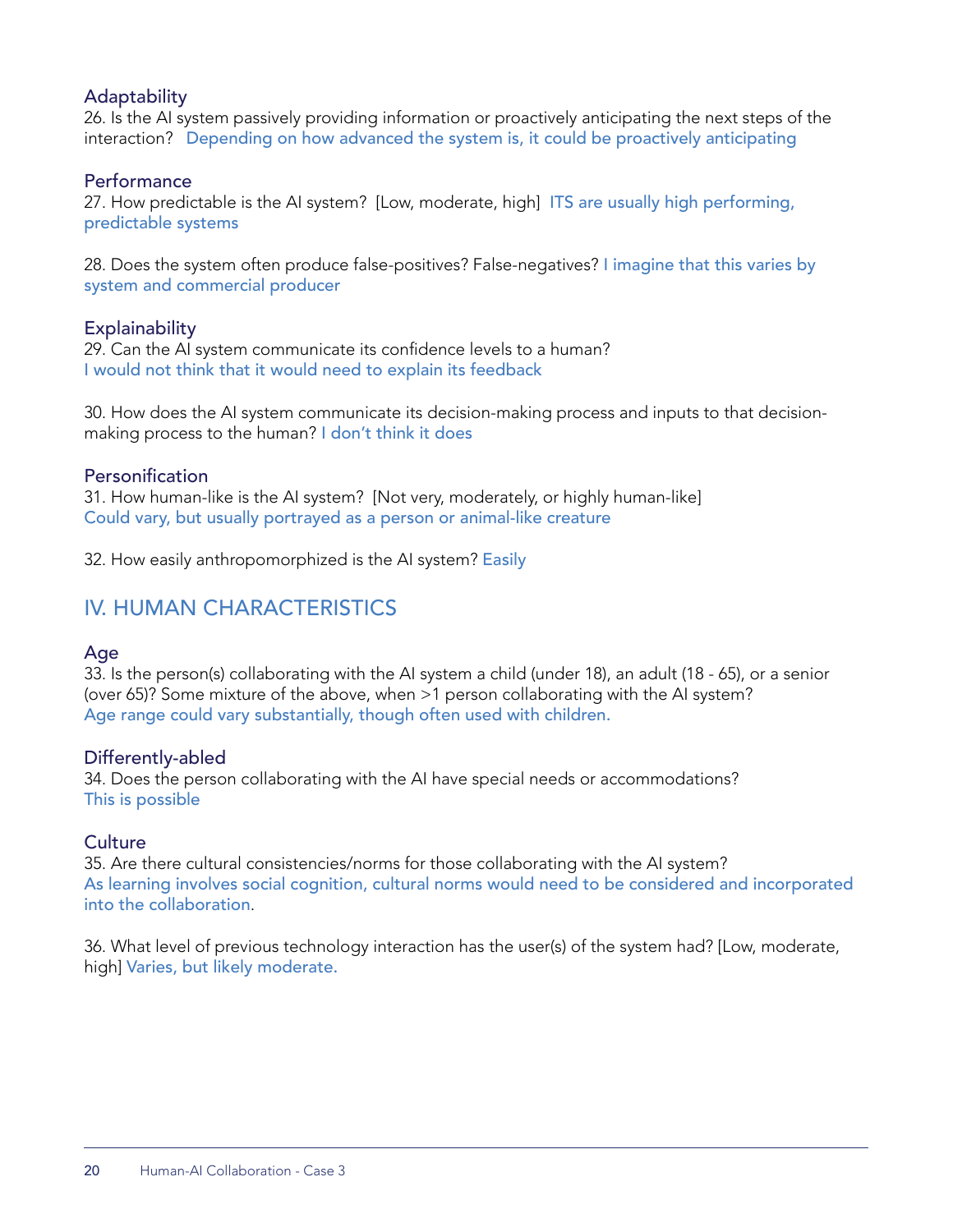#### **Adaptability**

26. Is the AI system passively providing information or proactively anticipating the next steps of the interaction? Depending on how advanced the system is, it could be proactively anticipating

#### **Performance**

27. How predictable is the AI system? [Low, moderate, high] ITS are usually high performing, predictable systems

28. Does the system often produce false-positives? False-negatives? I imagine that this varies by system and commercial producer

#### **Explainability**

29. Can the AI system communicate its confidence levels to a human? I would not think that it would need to explain its feedback

30. How does the AI system communicate its decision-making process and inputs to that decisionmaking process to the human? I don't think it does

#### Personification

31. How human-like is the AI system? [Not very, moderately, or highly human-like] Could vary, but usually portrayed as a person or animal-like creature

32. How easily anthropomorphized is the AI system? Easily

## IV. HUMAN CHARACTERISTICS

#### Age

33. Is the person(s) collaborating with the AI system a child (under 18), an adult (18 - 65), or a senior (over 65)? Some mixture of the above, when >1 person collaborating with the AI system? Age range could vary substantially, though often used with children.

#### Differently-abled

34. Does the person collaborating with the AI have special needs or accommodations? This is possible

#### **Culture**

35. Are there cultural consistencies/norms for those collaborating with the AI system? As learning involves social cognition, cultural norms would need to be considered and incorporated into the collaboration.

36. What level of previous technology interaction has the user(s) of the system had? [Low, moderate, high] Varies, but likely moderate.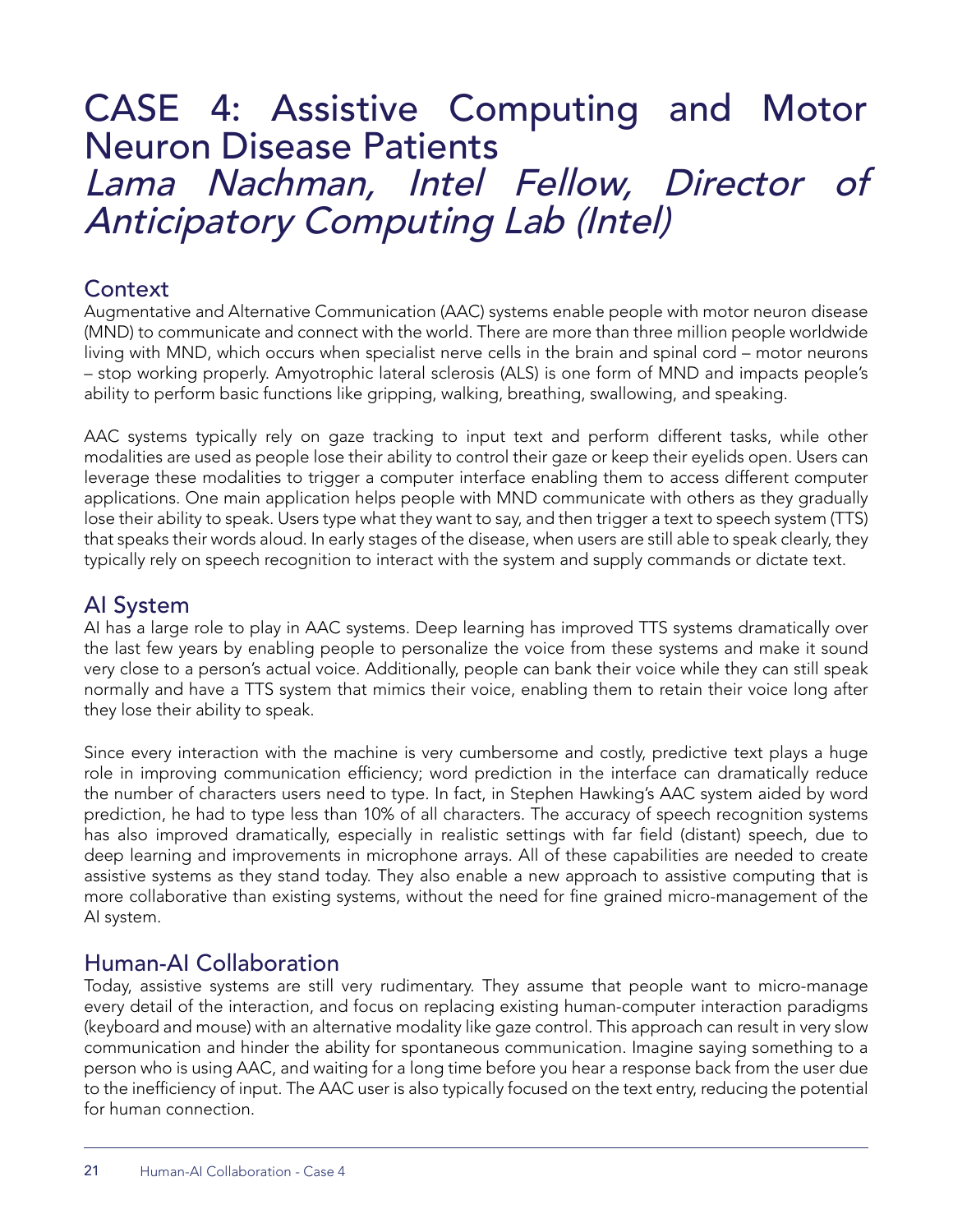# CASE 4: Assistive Computing and Motor Neuron Disease Patients

Lama Nachman, Intel Fellow, Director of Anticipatory Computing Lab (Intel)

## **Context**

Augmentative and Alternative Communication (AAC) systems enable people with motor neuron disease (MND) to communicate and connect with the world. There are more than three million people worldwide living with MND, which occurs when specialist nerve cells in the brain and spinal cord – motor neurons – stop working properly. Amyotrophic lateral sclerosis (ALS) is one form of MND and impacts people's ability to perform basic functions like gripping, walking, breathing, swallowing, and speaking.

AAC systems typically rely on gaze tracking to input text and perform different tasks, while other modalities are used as people lose their ability to control their gaze or keep their eyelids open. Users can leverage these modalities to trigger a computer interface enabling them to access different computer applications. One main application helps people with MND communicate with others as they gradually lose their ability to speak. Users type what they want to say, and then trigger a text to speech system (TTS) that speaks their words aloud. In early stages of the disease, when users are still able to speak clearly, they typically rely on speech recognition to interact with the system and supply commands or dictate text.

## AI System

AI has a large role to play in AAC systems. Deep learning has improved TTS systems dramatically over the last few years by enabling people to personalize the voice from these systems and make it sound very close to a person's actual voice. Additionally, people can bank their voice while they can still speak normally and have a TTS system that mimics their voice, enabling them to retain their voice long after they lose their ability to speak.

Since every interaction with the machine is very cumbersome and costly, predictive text plays a huge role in improving communication efficiency; word prediction in the interface can dramatically reduce the number of characters users need to type. In fact, in Stephen Hawking's AAC system aided by word prediction, he had to type less than 10% of all characters. The accuracy of speech recognition systems has also improved dramatically, especially in realistic settings with far field (distant) speech, due to deep learning and improvements in microphone arrays. All of these capabilities are needed to create assistive systems as they stand today. They also enable a new approach to assistive computing that is more collaborative than existing systems, without the need for fine grained micro-management of the AI system.

## Human-AI Collaboration

Today, assistive systems are still very rudimentary. They assume that people want to micro-manage every detail of the interaction, and focus on replacing existing human-computer interaction paradigms (keyboard and mouse) with an alternative modality like gaze control. This approach can result in very slow communication and hinder the ability for spontaneous communication. Imagine saying something to a person who is using AAC, and waiting for a long time before you hear a response back from the user due to the inefficiency of input. The AAC user is also typically focused on the text entry, reducing the potential for human connection.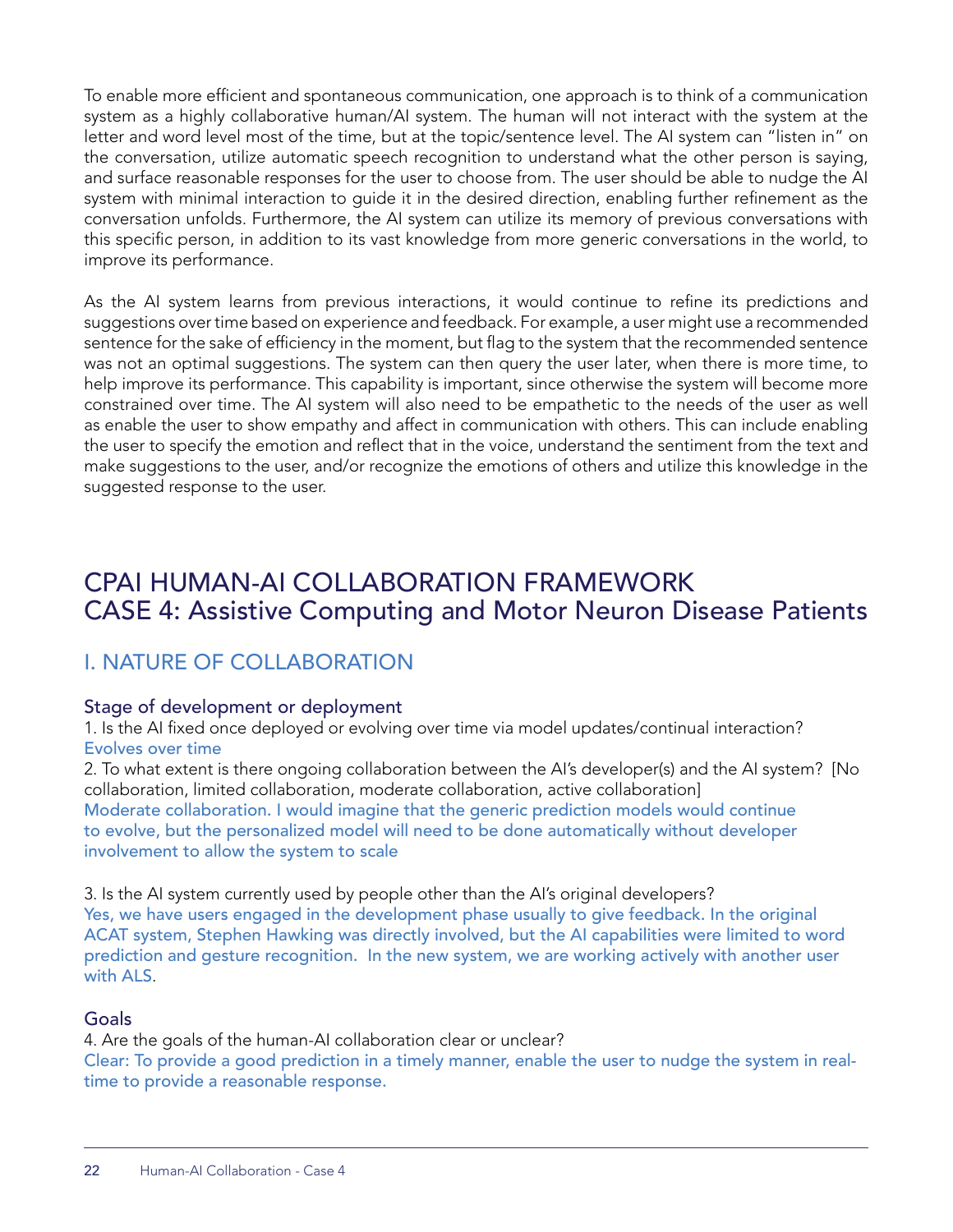To enable more efficient and spontaneous communication, one approach is to think of a communication system as a highly collaborative human/AI system. The human will not interact with the system at the letter and word level most of the time, but at the topic/sentence level. The AI system can "listen in" on the conversation, utilize automatic speech recognition to understand what the other person is saying, and surface reasonable responses for the user to choose from. The user should be able to nudge the AI system with minimal interaction to guide it in the desired direction, enabling further refinement as the conversation unfolds. Furthermore, the AI system can utilize its memory of previous conversations with this specific person, in addition to its vast knowledge from more generic conversations in the world, to improve its performance.

As the AI system learns from previous interactions, it would continue to refine its predictions and suggestions over time based on experience and feedback. For example, a user might use a recommended sentence for the sake of efficiency in the moment, but flag to the system that the recommended sentence was not an optimal suggestions. The system can then query the user later, when there is more time, to help improve its performance. This capability is important, since otherwise the system will become more constrained over time. The AI system will also need to be empathetic to the needs of the user as well as enable the user to show empathy and affect in communication with others. This can include enabling the user to specify the emotion and reflect that in the voice, understand the sentiment from the text and make suggestions to the user, and/or recognize the emotions of others and utilize this knowledge in the suggested response to the user.

## CPAI HUMAN-AI COLLABORATION FRAMEWORK CASE 4: Assistive Computing and Motor Neuron Disease Patients

## I. NATURE OF COLLABORATION

#### Stage of development or deployment

1. Is the AI fixed once deployed or evolving over time via model updates/continual interaction? Evolves over time

2. To what extent is there ongoing collaboration between the AI's developer(s) and the AI system? [No collaboration, limited collaboration, moderate collaboration, active collaboration] Moderate collaboration. I would imagine that the generic prediction models would continue to evolve, but the personalized model will need to be done automatically without developer involvement to allow the system to scale

3. Is the AI system currently used by people other than the AI's original developers? Yes, we have users engaged in the development phase usually to give feedback. In the original ACAT system, Stephen Hawking was directly involved, but the AI capabilities were limited to word prediction and gesture recognition. In the new system, we are working actively with another user with ALS.

#### Goals

4. Are the goals of the human-AI collaboration clear or unclear? Clear: To provide a good prediction in a timely manner, enable the user to nudge the system in realtime to provide a reasonable response.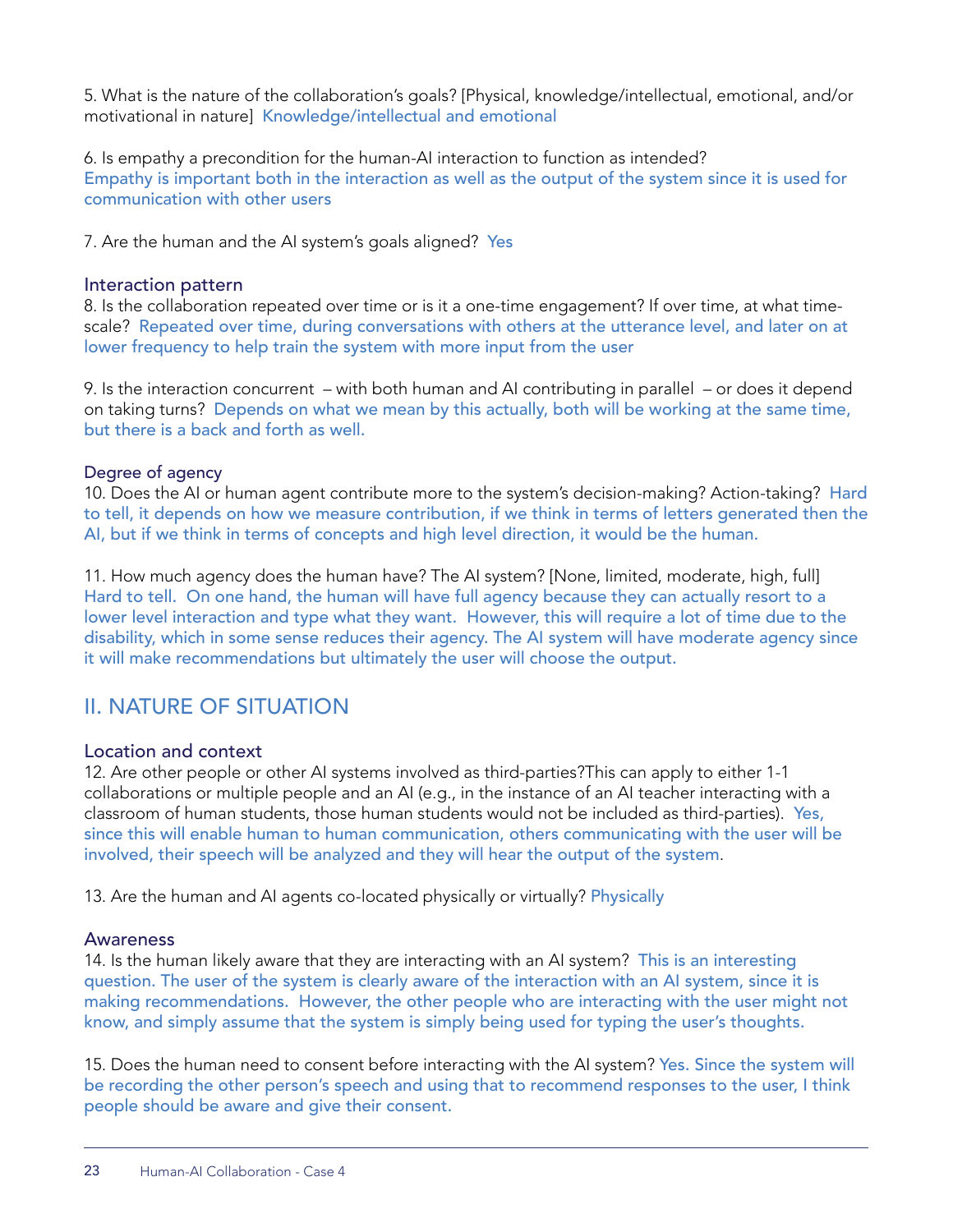5. What is the nature of the collaboration's goals? [Physical, knowledge/intellectual, emotional, and/or motivational in nature] Knowledge/intellectual and emotional

6. Is empathy a precondition for the human-AI interaction to function as intended? Empathy is important both in the interaction as well as the output of the system since it is used for communication with other users

7. Are the human and the AI system's goals aligned? Yes

#### Interaction pattern

8. Is the collaboration repeated over time or is it a one-time engagement? If over time, at what timescale? Repeated over time, during conversations with others at the utterance level, and later on at lower frequency to help train the system with more input from the user

9. Is the interaction concurrent – with both human and AI contributing in parallel – or does it depend on taking turns? Depends on what we mean by this actually, both will be working at the same time, but there is a back and forth as well.

#### Degree of agency

10. Does the AI or human agent contribute more to the system's decision-making? Action-taking? Hard to tell, it depends on how we measure contribution, if we think in terms of letters generated then the AI, but if we think in terms of concepts and high level direction, it would be the human.

11. How much agency does the human have? The AI system? [None, limited, moderate, high, full] Hard to tell. On one hand, the human will have full agency because they can actually resort to a lower level interaction and type what they want. However, this will require a lot of time due to the disability, which in some sense reduces their agency. The AI system will have moderate agency since it will make recommendations but ultimately the user will choose the output.

## II. NATURE OF SITUATION

#### Location and context

12. Are other people or other AI systems involved as third-parties?This can apply to either 1-1 collaborations or multiple people and an AI (e.g., in the instance of an AI teacher interacting with a classroom of human students, those human students would not be included as third-parties). Yes, since this will enable human to human communication, others communicating with the user will be involved, their speech will be analyzed and they will hear the output of the system.

13. Are the human and AI agents co-located physically or virtually? Physically

#### Awareness

14. Is the human likely aware that they are interacting with an AI system? This is an interesting question. The user of the system is clearly aware of the interaction with an AI system, since it is making recommendations. However, the other people who are interacting with the user might not know, and simply assume that the system is simply being used for typing the user's thoughts.

15. Does the human need to consent before interacting with the AI system? Yes. Since the system will be recording the other person's speech and using that to recommend responses to the user, I think people should be aware and give their consent.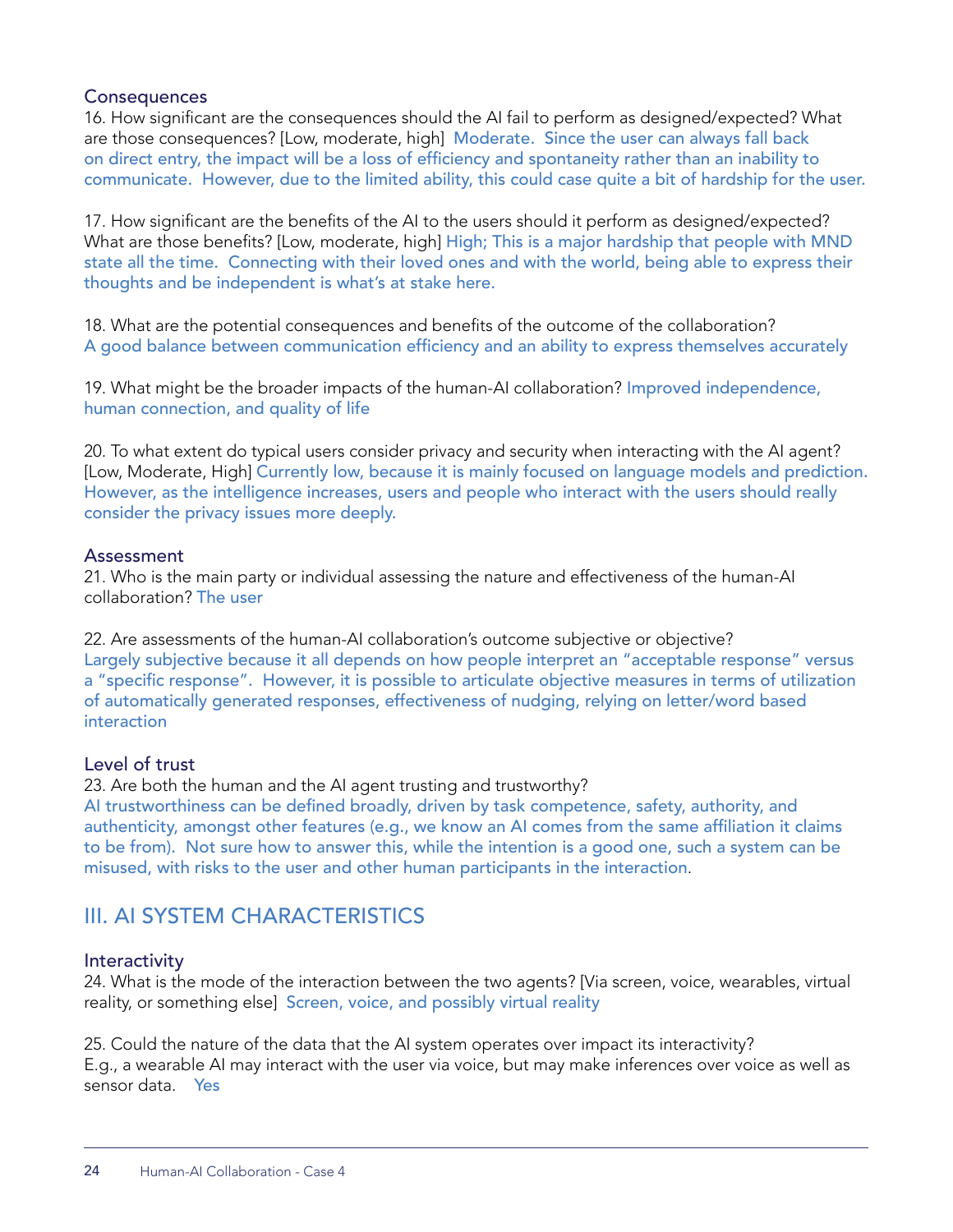#### **Consequences**

16. How significant are the consequences should the AI fail to perform as designed/expected? What are those consequences? [Low, moderate, high] Moderate. Since the user can always fall back on direct entry, the impact will be a loss of efficiency and spontaneity rather than an inability to communicate. However, due to the limited ability, this could case quite a bit of hardship for the user.

17. How significant are the benefits of the AI to the users should it perform as designed/expected? What are those benefits? [Low, moderate, high] High; This is a major hardship that people with MND state all the time. Connecting with their loved ones and with the world, being able to express their thoughts and be independent is what's at stake here.

18. What are the potential consequences and benefits of the outcome of the collaboration? A good balance between communication efficiency and an ability to express themselves accurately

19. What might be the broader impacts of the human-AI collaboration? Improved independence, human connection, and quality of life

20. To what extent do typical users consider privacy and security when interacting with the AI agent? [Low, Moderate, High] Currently low, because it is mainly focused on language models and prediction. However, as the intelligence increases, users and people who interact with the users should really consider the privacy issues more deeply.

#### Assessment

21. Who is the main party or individual assessing the nature and effectiveness of the human-AI collaboration? The user

22. Are assessments of the human-AI collaboration's outcome subjective or objective? Largely subjective because it all depends on how people interpret an "acceptable response" versus a "specific response". However, it is possible to articulate objective measures in terms of utilization of automatically generated responses, effectiveness of nudging, relying on letter/word based interaction

#### Level of trust

23. Are both the human and the AI agent trusting and trustworthy?

AI trustworthiness can be defined broadly, driven by task competence, safety, authority, and authenticity, amongst other features (e.g., we know an AI comes from the same affiliation it claims to be from). Not sure how to answer this, while the intention is a good one, such a system can be misused, with risks to the user and other human participants in the interaction.

## III. AI SYSTEM CHARACTERISTICS

#### **Interactivity**

24. What is the mode of the interaction between the two agents? [Via screen, voice, wearables, virtual reality, or something else] Screen, voice, and possibly virtual reality

25. Could the nature of the data that the AI system operates over impact its interactivity? E.g., a wearable AI may interact with the user via voice, but may make inferences over voice as well as sensor data. Yes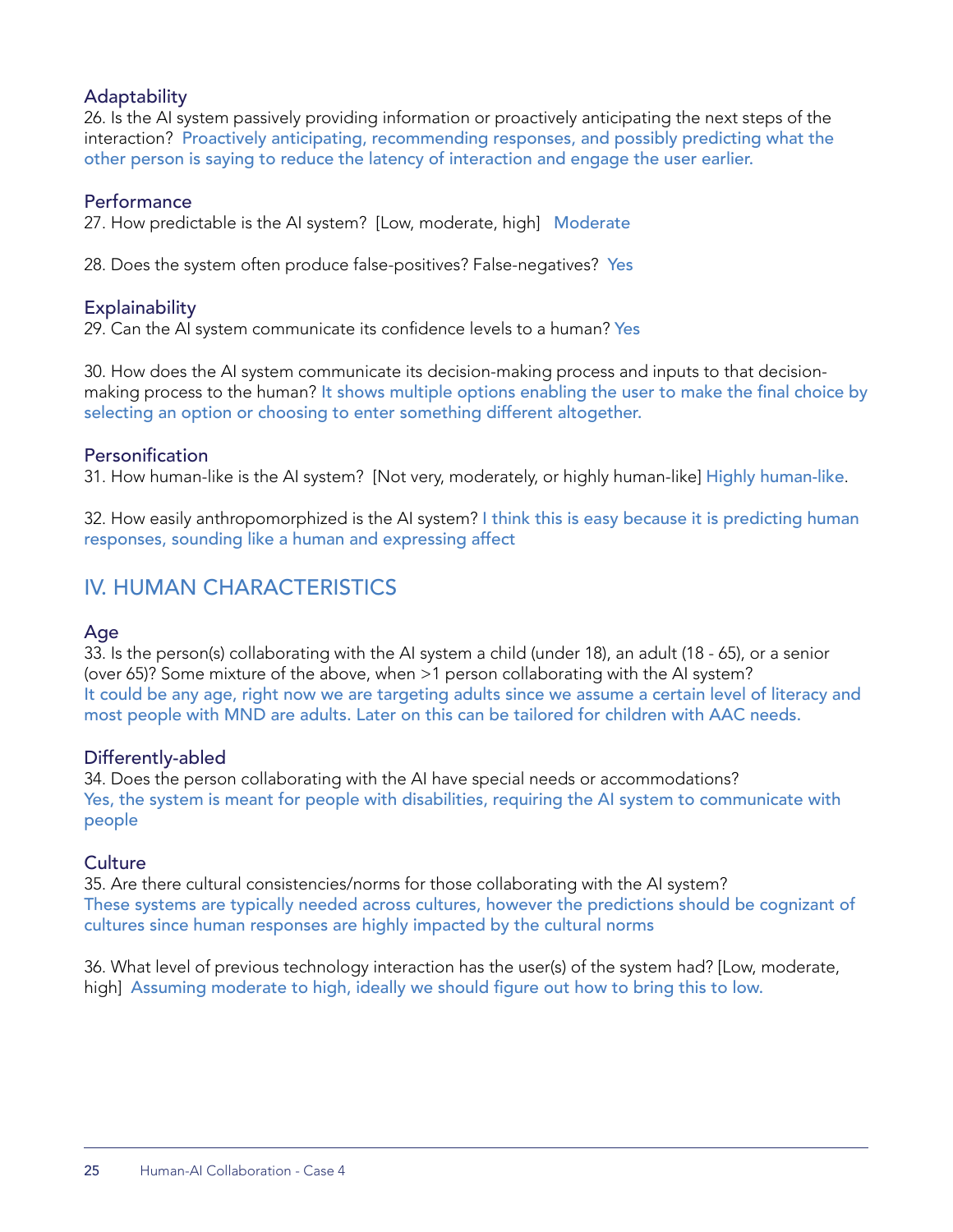#### Adaptability

26. Is the AI system passively providing information or proactively anticipating the next steps of the interaction? Proactively anticipating, recommending responses, and possibly predicting what the other person is saying to reduce the latency of interaction and engage the user earlier.

#### Performance

27. How predictable is the AI system? [Low, moderate, high] Moderate

28. Does the system often produce false-positives? False-negatives? Yes

#### **Explainability**

29. Can the AI system communicate its confidence levels to a human? Yes

30. How does the AI system communicate its decision-making process and inputs to that decisionmaking process to the human? It shows multiple options enabling the user to make the final choice by selecting an option or choosing to enter something different altogether.

#### **Personification**

31. How human-like is the AI system? [Not very, moderately, or highly human-like] Highly human-like.

32. How easily anthropomorphized is the AI system? I think this is easy because it is predicting human responses, sounding like a human and expressing affect

## IV. HUMAN CHARACTERISTICS

#### Age

33. Is the person(s) collaborating with the AI system a child (under 18), an adult (18 - 65), or a senior (over 65)? Some mixture of the above, when >1 person collaborating with the AI system? It could be any age, right now we are targeting adults since we assume a certain level of literacy and most people with MND are adults. Later on this can be tailored for children with AAC needs.

#### Differently-abled

34. Does the person collaborating with the AI have special needs or accommodations? Yes, the system is meant for people with disabilities, requiring the AI system to communicate with people

#### **Culture**

35. Are there cultural consistencies/norms for those collaborating with the AI system? These systems are typically needed across cultures, however the predictions should be cognizant of cultures since human responses are highly impacted by the cultural norms

36. What level of previous technology interaction has the user(s) of the system had? [Low, moderate, high] Assuming moderate to high, ideally we should figure out how to bring this to low.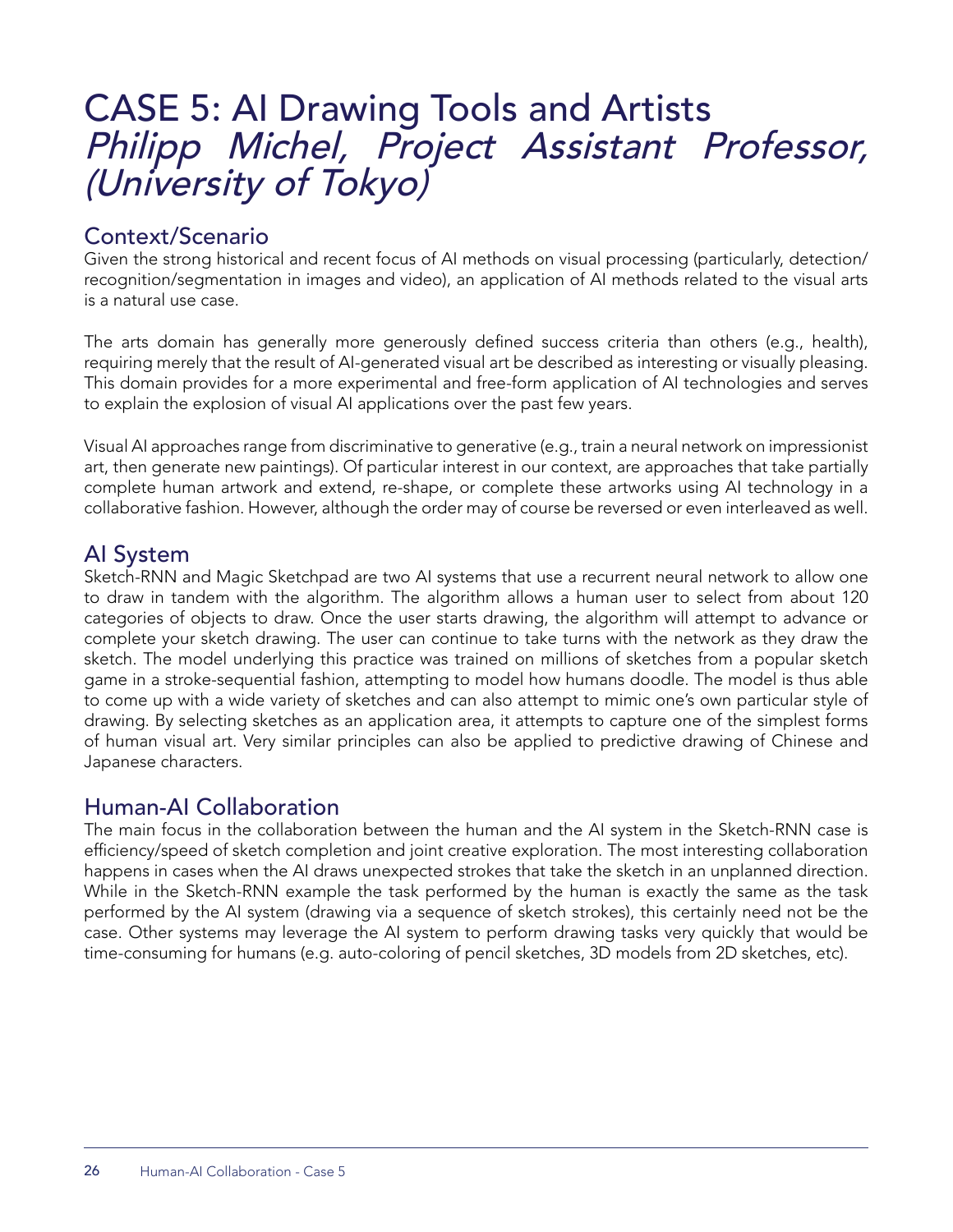# CASE 5: AI Drawing Tools and Artists Philipp Michel, Project Assistant Professor, (University of Tokyo)

## Context/Scenario

Given the strong historical and recent focus of AI methods on visual processing (particularly, detection/ recognition/segmentation in images and video), an application of AI methods related to the visual arts is a natural use case.

The arts domain has generally more generously defined success criteria than others (e.g., health), requiring merely that the result of AI-generated visual art be described as interesting or visually pleasing. This domain provides for a more experimental and free-form application of AI technologies and serves to explain the explosion of visual AI applications over the past few years.

Visual AI approaches range from discriminative to generative (e.g., train a neural network on impressionist art, then generate new paintings). Of particular interest in our context, are approaches that take partially complete human artwork and extend, re-shape, or complete these artworks using AI technology in a collaborative fashion. However, although the order may of course be reversed or even interleaved as well.

## AI System

Sketch-RNN and Magic Sketchpad are two AI systems that use a recurrent neural network to allow one to draw in tandem with the algorithm. The algorithm allows a human user to select from about 120 categories of objects to draw. Once the user starts drawing, the algorithm will attempt to advance or complete your sketch drawing. The user can continue to take turns with the network as they draw the sketch. The model underlying this practice was trained on millions of sketches from a popular sketch game in a stroke-sequential fashion, attempting to model how humans doodle. The model is thus able to come up with a wide variety of sketches and can also attempt to mimic one's own particular style of drawing. By selecting sketches as an application area, it attempts to capture one of the simplest forms of human visual art. Very similar principles can also be applied to predictive drawing of Chinese and Japanese characters.

## Human-AI Collaboration

The main focus in the collaboration between the human and the AI system in the Sketch-RNN case is efficiency/speed of sketch completion and joint creative exploration. The most interesting collaboration happens in cases when the AI draws unexpected strokes that take the sketch in an unplanned direction. While in the Sketch-RNN example the task performed by the human is exactly the same as the task performed by the AI system (drawing via a sequence of sketch strokes), this certainly need not be the case. Other systems may leverage the AI system to perform drawing tasks very quickly that would be time-consuming for humans (e.g. auto-coloring of pencil sketches, 3D models from 2D sketches, etc).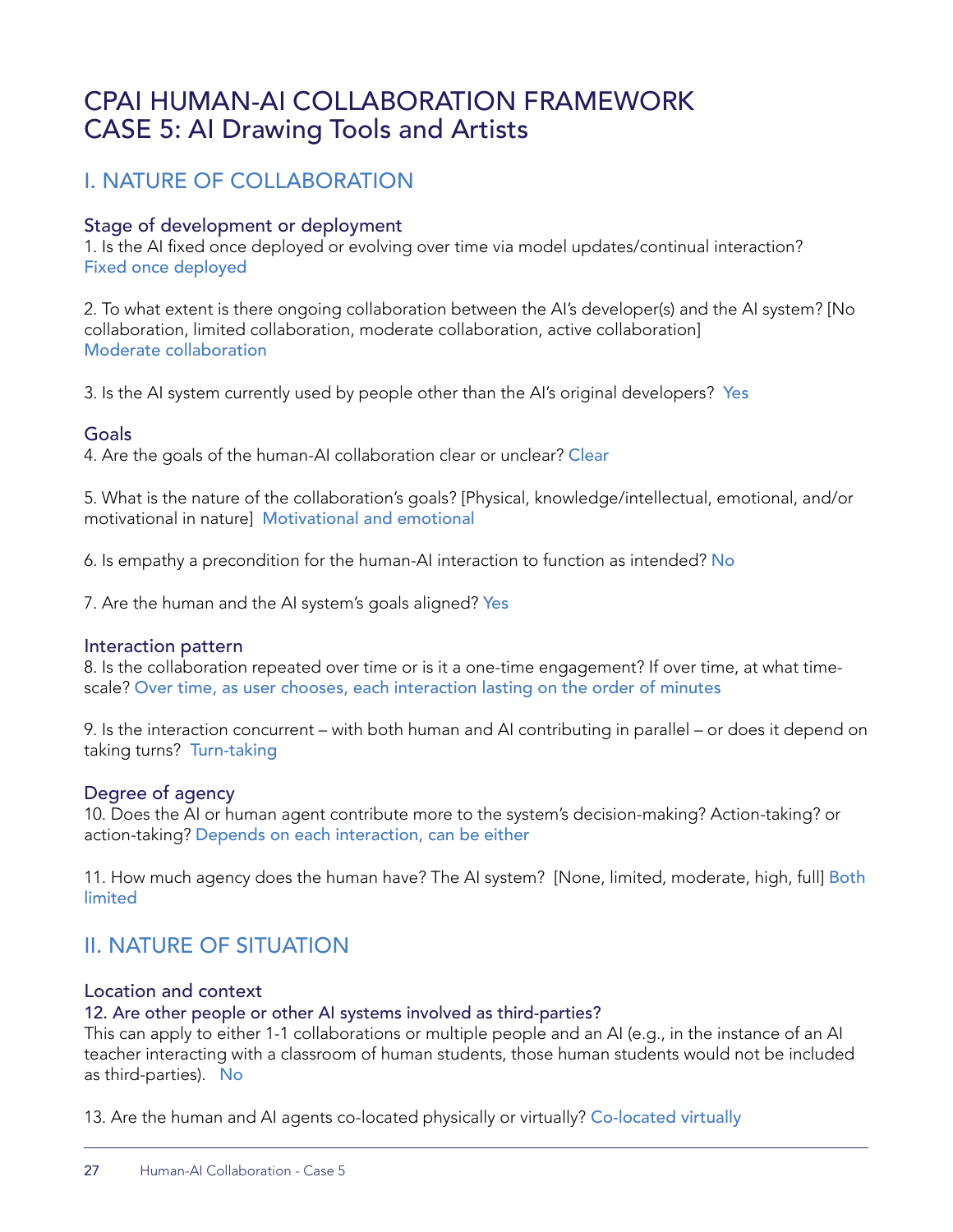## CPAI HUMAN-AI COLLABORATION FRAMEWORK CASE 5: AI Drawing Tools and Artists

## I. NATURE OF COLLABORATION

#### Stage of development or deployment

1. Is the AI fixed once deployed or evolving over time via model updates/continual interaction? Fixed once deployed

2. To what extent is there ongoing collaboration between the AI's developer(s) and the AI system? [No collaboration, limited collaboration, moderate collaboration, active collaboration] Moderate collaboration

3. Is the AI system currently used by people other than the AI's original developers? Yes

#### Goals

4. Are the goals of the human-AI collaboration clear or unclear? Clear

5. What is the nature of the collaboration's goals? [Physical, knowledge/intellectual, emotional, and/or motivational in nature] Motivational and emotional

6. Is empathy a precondition for the human-AI interaction to function as intended? No

7. Are the human and the AI system's goals aligned? Yes

#### Interaction pattern

8. Is the collaboration repeated over time or is it a one-time engagement? If over time, at what timescale? Over time, as user chooses, each interaction lasting on the order of minutes

9. Is the interaction concurrent – with both human and AI contributing in parallel – or does it depend on taking turns? Turn-taking

#### Degree of agency

10. Does the AI or human agent contribute more to the system's decision-making? Action-taking? or action-taking? Depends on each interaction, can be either

11. How much agency does the human have? The AI system? [None, limited, moderate, high, full] Both limited

## II. NATURE OF SITUATION

#### Location and context

12. Are other people or other AI systems involved as third-parties?

This can apply to either 1-1 collaborations or multiple people and an AI (e.g., in the instance of an AI teacher interacting with a classroom of human students, those human students would not be included as third-parties). No

13. Are the human and AI agents co-located physically or virtually? Co-located virtually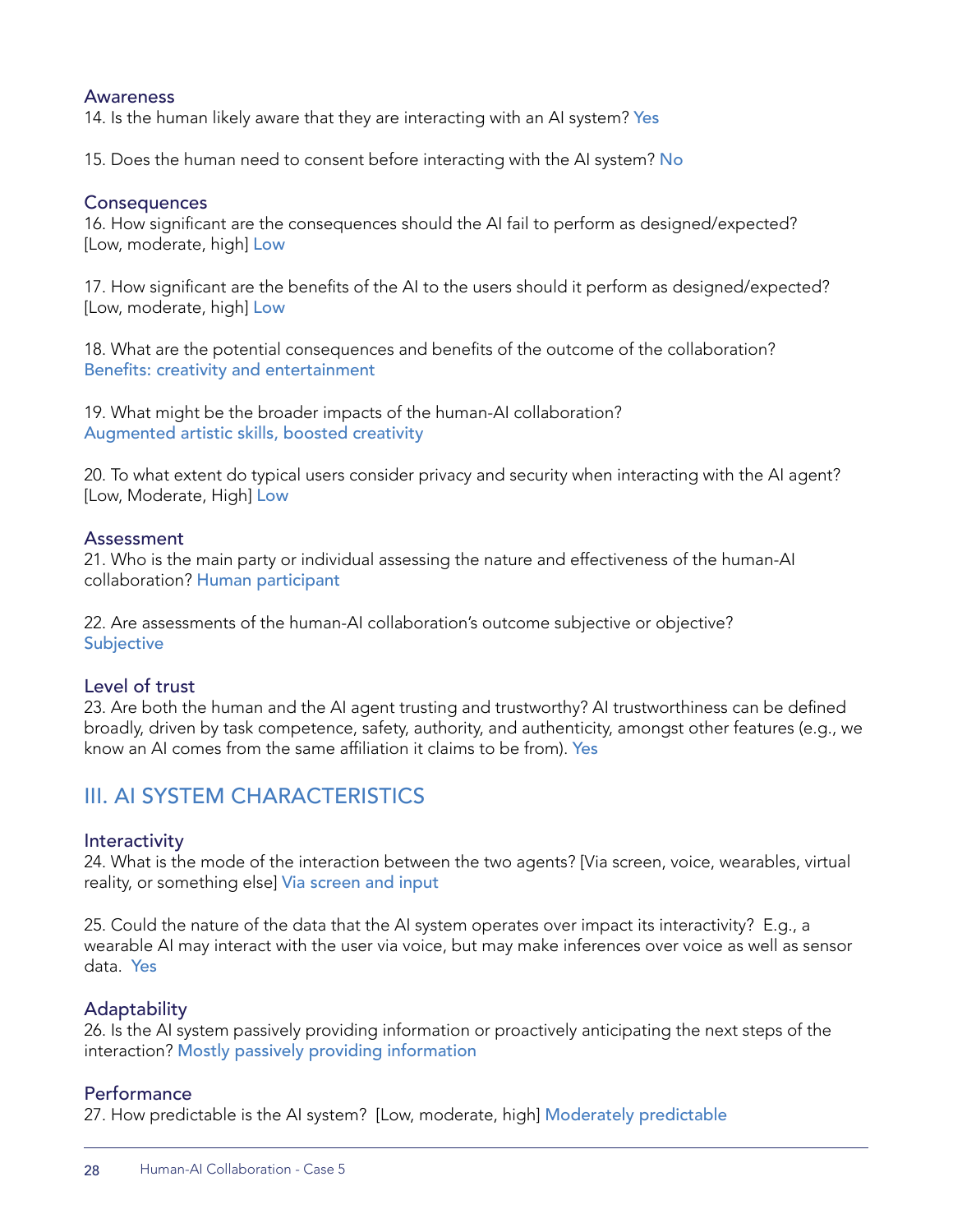#### Awareness

14. Is the human likely aware that they are interacting with an AI system? Yes

15. Does the human need to consent before interacting with the AI system? No

#### **Consequences**

16. How significant are the consequences should the AI fail to perform as designed/expected? [Low, moderate, high] Low

17. How significant are the benefits of the AI to the users should it perform as designed/expected? [Low, moderate, high] Low

18. What are the potential consequences and benefits of the outcome of the collaboration? Benefits: creativity and entertainment

19. What might be the broader impacts of the human-AI collaboration? Augmented artistic skills, boosted creativity

20. To what extent do typical users consider privacy and security when interacting with the AI agent? [Low, Moderate, High] Low

#### Assessment

21. Who is the main party or individual assessing the nature and effectiveness of the human-AI collaboration? Human participant

22. Are assessments of the human-AI collaboration's outcome subjective or objective? **Subjective** 

#### Level of trust

23. Are both the human and the AI agent trusting and trustworthy? AI trustworthiness can be defined broadly, driven by task competence, safety, authority, and authenticity, amongst other features (e.g., we know an AI comes from the same affiliation it claims to be from). Yes

## III. AI SYSTEM CHARACTERISTICS

#### **Interactivity**

24. What is the mode of the interaction between the two agents? [Via screen, voice, wearables, virtual reality, or something else] Via screen and input

25. Could the nature of the data that the AI system operates over impact its interactivity? E.g., a wearable AI may interact with the user via voice, but may make inferences over voice as well as sensor data. Yes

#### **Adaptability**

26. Is the AI system passively providing information or proactively anticipating the next steps of the interaction? Mostly passively providing information

#### **Performance**

27. How predictable is the AI system? [Low, moderate, high] Moderately predictable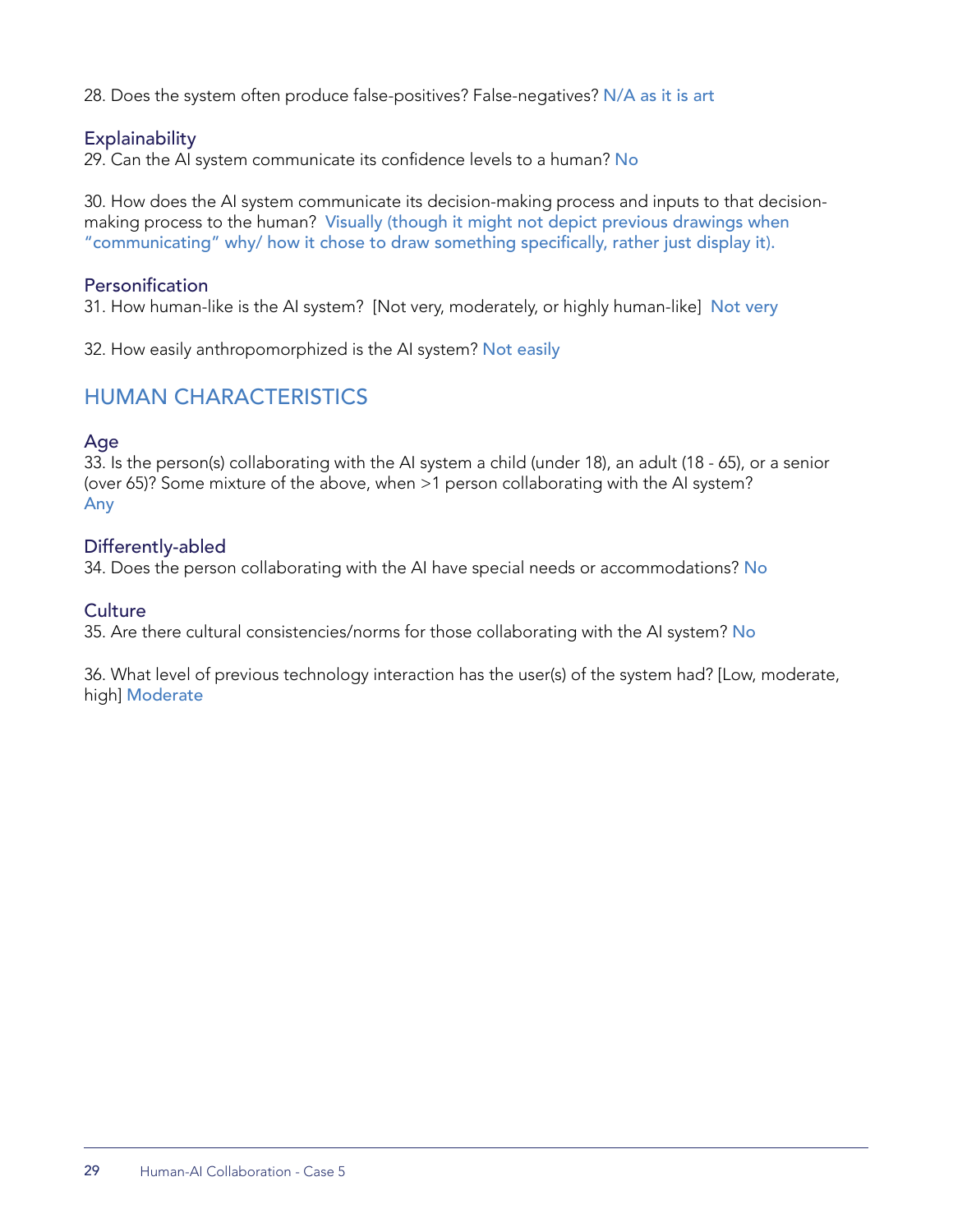28. Does the system often produce false-positives? False-negatives? N/A as it is art

#### **Explainability**

29. Can the AI system communicate its confidence levels to a human? No

30. How does the AI system communicate its decision-making process and inputs to that decisionmaking process to the human? Visually (though it might not depict previous drawings when "communicating" why/ how it chose to draw something specifically, rather just display it).

#### **Personification**

31. How human-like is the AI system? [Not very, moderately, or highly human-like] Not very

32. How easily anthropomorphized is the AI system? Not easily

## HUMAN CHARACTERISTICS

#### Age

33. Is the person(s) collaborating with the AI system a child (under 18), an adult (18 - 65), or a senior (over 65)? Some mixture of the above, when >1 person collaborating with the AI system? Any

#### Differently-abled

34. Does the person collaborating with the AI have special needs or accommodations? No

#### **Culture**

35. Are there cultural consistencies/norms for those collaborating with the AI system? No

36. What level of previous technology interaction has the user(s) of the system had? [Low, moderate, high] Moderate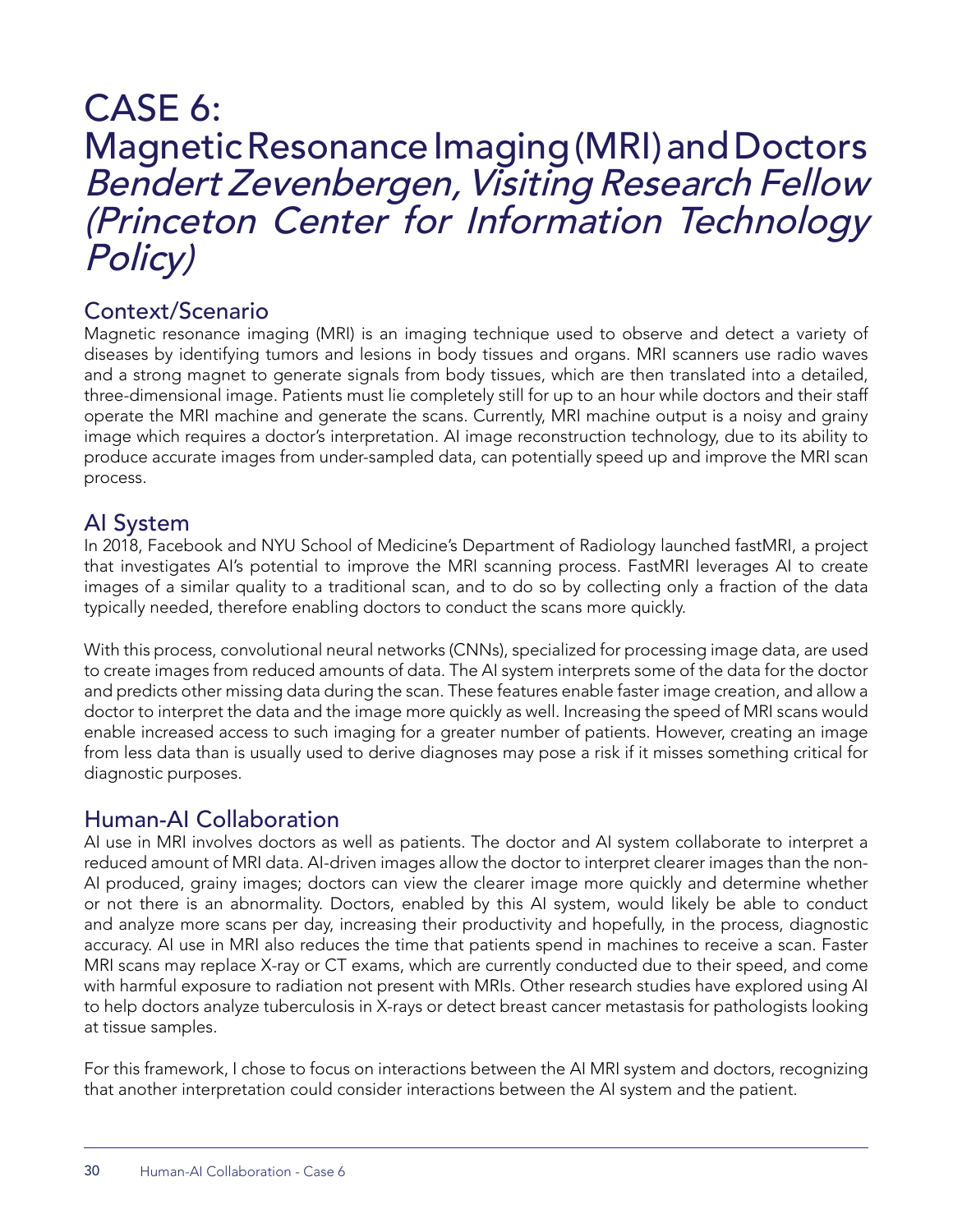## CASE 6: Magnetic Resonance Imaging (MRI) and Doctors Bendert Zevenbergen, Visiting Research Fellow (Princeton Center for Information Technology Policy)

## Context/Scenario

Magnetic resonance imaging (MRI) is an imaging technique used to observe and detect a variety of diseases by identifying tumors and lesions in body tissues and organs. MRI scanners use radio waves and a strong magnet to generate signals from body tissues, which are then translated into a detailed, three-dimensional image. Patients must lie completely still for up to an hour while doctors and their staff operate the MRI machine and generate the scans. Currently, MRI machine output is a noisy and grainy image which requires a doctor's interpretation. AI image reconstruction technology, due to its ability to produce accurate images from under-sampled data, can potentially speed up and improve the MRI scan process.

## AI System

In 2018, Facebook and NYU School of Medicine's Department of Radiology launched fastMRI, a project that investigates AI's potential to improve the MRI scanning process. FastMRI leverages AI to create images of a similar quality to a traditional scan, and to do so by collecting only a fraction of the data typically needed, therefore enabling doctors to conduct the scans more quickly.

With this process, convolutional neural networks (CNNs), specialized for processing image data, are used to create images from reduced amounts of data. The AI system interprets some of the data for the doctor and predicts other missing data during the scan. These features enable faster image creation, and allow a doctor to interpret the data and the image more quickly as well. Increasing the speed of MRI scans would enable increased access to such imaging for a greater number of patients. However, creating an image from less data than is usually used to derive diagnoses may pose a risk if it misses something critical for diagnostic purposes.

## Human-AI Collaboration

AI use in MRI involves doctors as well as patients. The doctor and AI system collaborate to interpret a reduced amount of MRI data. AI-driven images allow the doctor to interpret clearer images than the non-AI produced, grainy images; doctors can view the clearer image more quickly and determine whether or not there is an abnormality. Doctors, enabled by this AI system, would likely be able to conduct and analyze more scans per day, increasing their productivity and hopefully, in the process, diagnostic accuracy. AI use in MRI also reduces the time that patients spend in machines to receive a scan. Faster MRI scans may replace X-ray or CT exams, which are currently conducted due to their speed, and come with harmful exposure to radiation not present with MRIs. Other research studies have explored using AI to help doctors analyze tuberculosis in X-rays or detect breast cancer metastasis for pathologists looking at tissue samples.

For this framework, I chose to focus on interactions between the AI MRI system and doctors, recognizing that another interpretation could consider interactions between the AI system and the patient.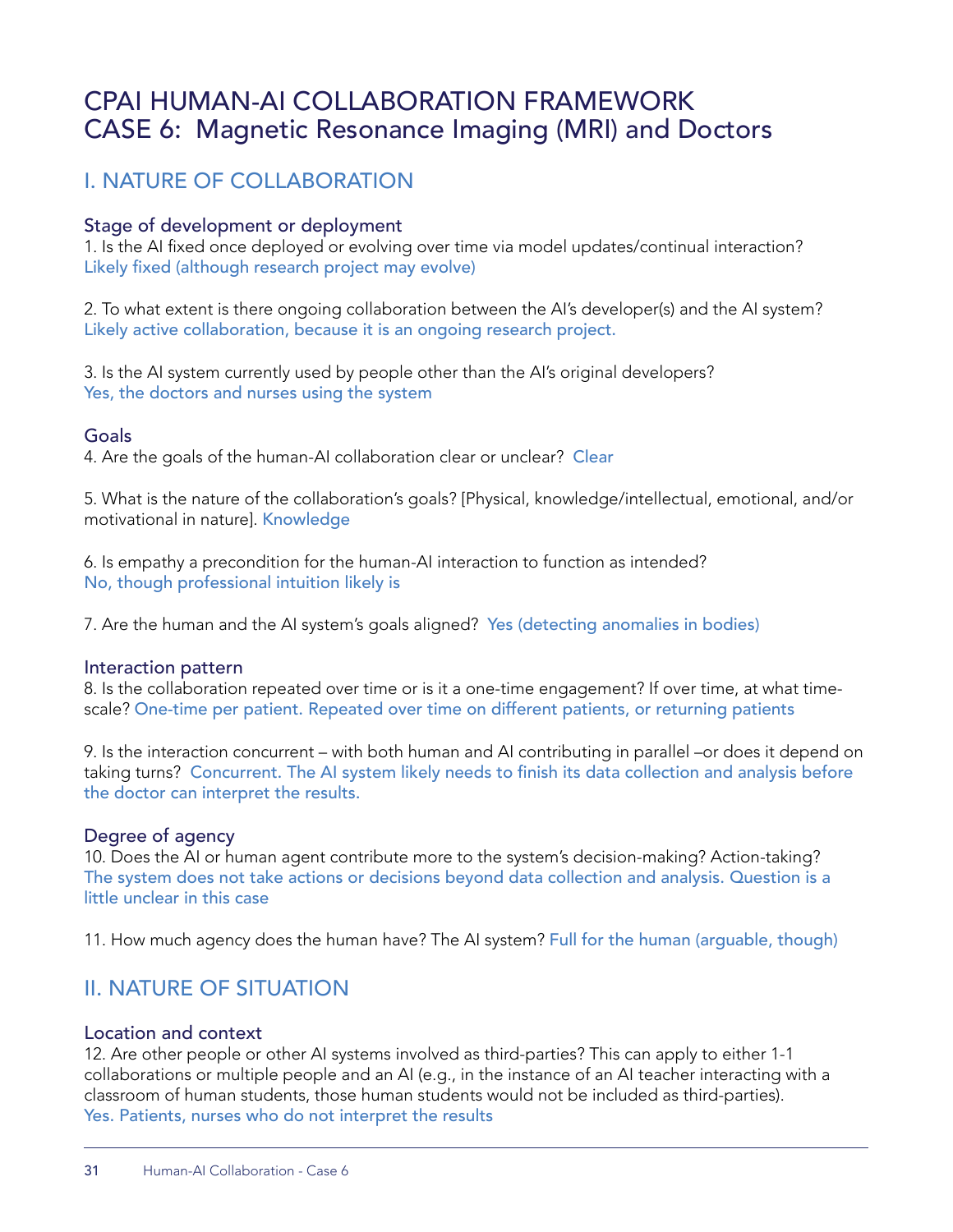## CPAI HUMAN-AI COLLABORATION FRAMEWORK CASE 6: Magnetic Resonance Imaging (MRI) and Doctors

## I. NATURE OF COLLABORATION

#### Stage of development or deployment

1. Is the AI fixed once deployed or evolving over time via model updates/continual interaction? Likely fixed (although research project may evolve)

2. To what extent is there ongoing collaboration between the AI's developer(s) and the AI system? Likely active collaboration, because it is an ongoing research project.

3. Is the AI system currently used by people other than the AI's original developers? Yes, the doctors and nurses using the system

#### Goals

4. Are the goals of the human-AI collaboration clear or unclear? Clear

5. What is the nature of the collaboration's goals? [Physical, knowledge/intellectual, emotional, and/or motivational in nature]. Knowledge

6. Is empathy a precondition for the human-AI interaction to function as intended? No, though professional intuition likely is

7. Are the human and the AI system's goals aligned? Yes (detecting anomalies in bodies)

#### Interaction pattern

8. Is the collaboration repeated over time or is it a one-time engagement? If over time, at what timescale? One-time per patient. Repeated over time on different patients, or returning patients

9. Is the interaction concurrent – with both human and AI contributing in parallel –or does it depend on taking turns? Concurrent. The AI system likely needs to finish its data collection and analysis before the doctor can interpret the results.

#### Degree of agency

10. Does the AI or human agent contribute more to the system's decision-making? Action-taking? The system does not take actions or decisions beyond data collection and analysis. Question is a little unclear in this case

11. How much agency does the human have? The AI system? Full for the human (arguable, though)

## II. NATURE OF SITUATION

#### Location and context

12. Are other people or other AI systems involved as third-parties? This can apply to either 1-1 collaborations or multiple people and an AI (e.g., in the instance of an AI teacher interacting with a classroom of human students, those human students would not be included as third-parties). Yes. Patients, nurses who do not interpret the results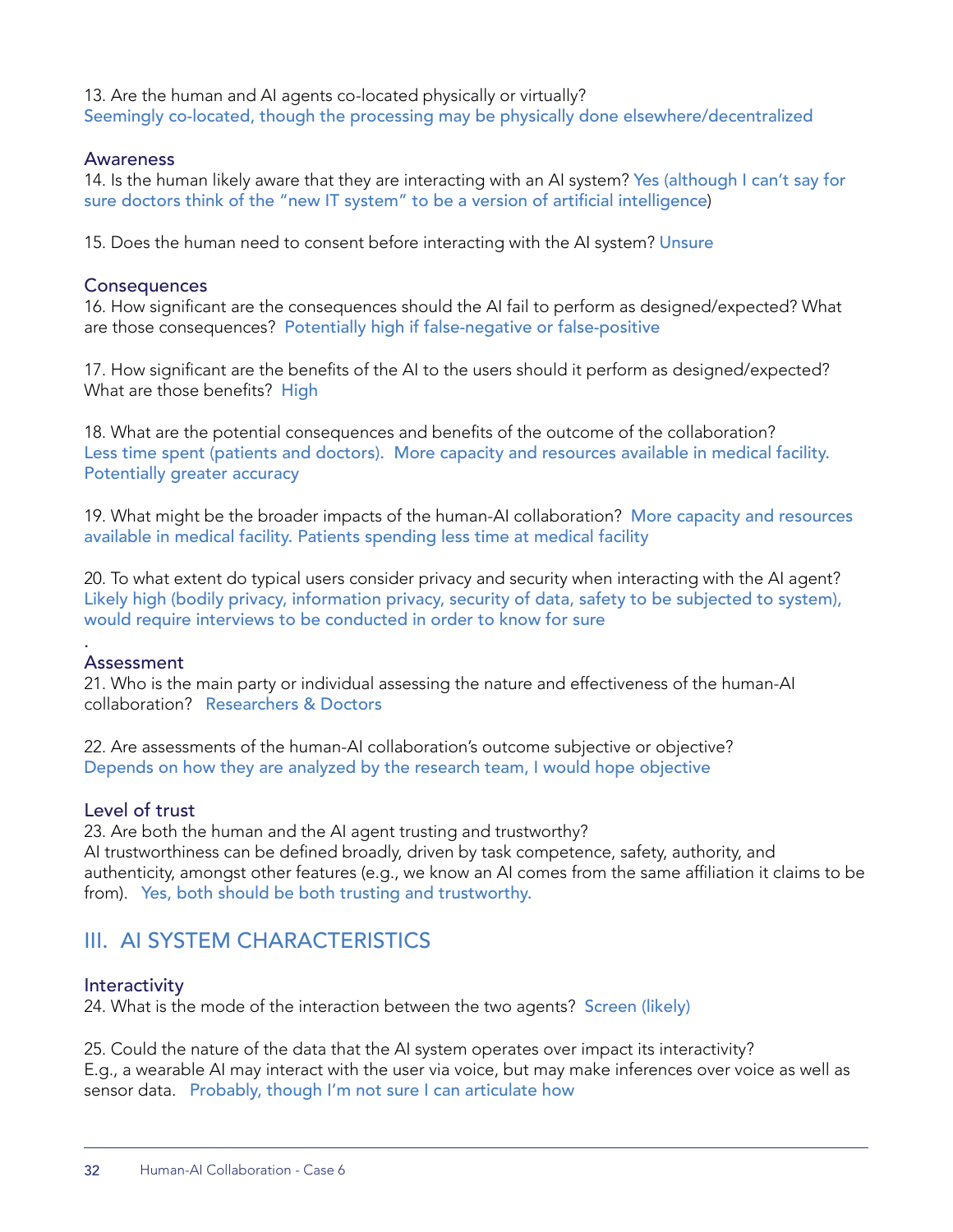13. Are the human and AI agents co-located physically or virtually? Seemingly co-located, though the processing may be physically done elsewhere/decentralized

#### Awareness

14. Is the human likely aware that they are interacting with an AI system? Yes (although I can't say for sure doctors think of the "new IT system" to be a version of artificial intelligence)

15. Does the human need to consent before interacting with the AI system? Unsure

#### **Consequences**

16. How significant are the consequences should the AI fail to perform as designed/expected? What are those consequences? Potentially high if false-negative or false-positive

17. How significant are the benefits of the AI to the users should it perform as designed/expected? What are those benefits? High

18. What are the potential consequences and benefits of the outcome of the collaboration? Less time spent (patients and doctors). More capacity and resources available in medical facility. Potentially greater accuracy

19. What might be the broader impacts of the human-AI collaboration? More capacity and resources available in medical facility. Patients spending less time at medical facility

20. To what extent do typical users consider privacy and security when interacting with the AI agent? Likely high (bodily privacy, information privacy, security of data, safety to be subjected to system), would require interviews to be conducted in order to know for sure

#### Assessment

.

21. Who is the main party or individual assessing the nature and effectiveness of the human-AI collaboration? Researchers & Doctors

22. Are assessments of the human-AI collaboration's outcome subjective or objective? Depends on how they are analyzed by the research team, I would hope objective

#### Level of trust

23. Are both the human and the AI agent trusting and trustworthy? AI trustworthiness can be defined broadly, driven by task competence, safety, authority, and authenticity, amongst other features (e.g., we know an AI comes from the same affiliation it claims to be from). Yes, both should be both trusting and trustworthy.

## III. AI SYSTEM CHARACTERISTICS

#### **Interactivity**

24. What is the mode of the interaction between the two agents? Screen (likely)

25. Could the nature of the data that the AI system operates over impact its interactivity? E.g., a wearable AI may interact with the user via voice, but may make inferences over voice as well as sensor data. Probably, though I'm not sure I can articulate how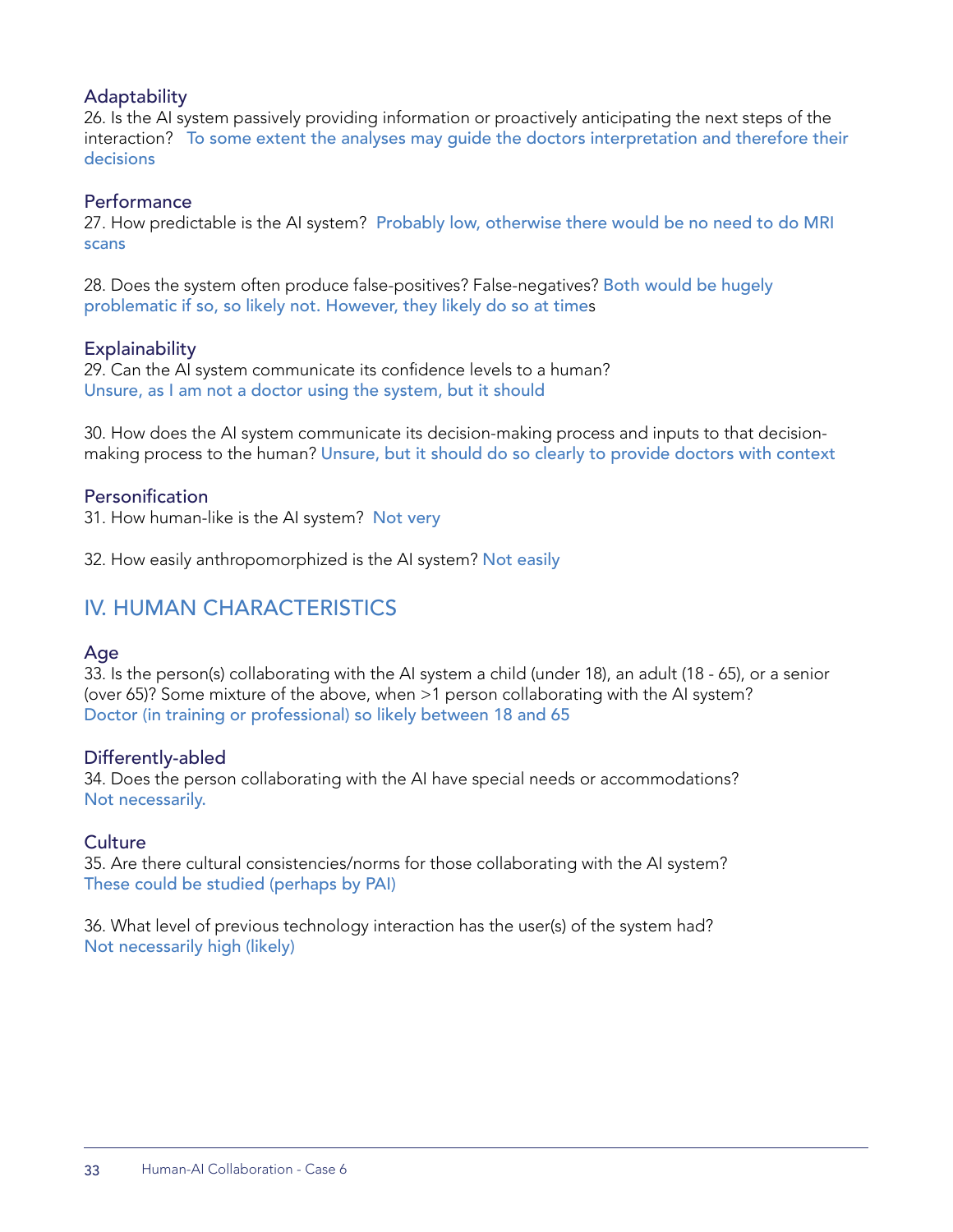#### **Adaptability**

26. Is the AI system passively providing information or proactively anticipating the next steps of the interaction? To some extent the analyses may guide the doctors interpretation and therefore their decisions

#### **Performance**

27. How predictable is the AI system? Probably low, otherwise there would be no need to do MRI scans

28. Does the system often produce false-positives? False-negatives? Both would be hugely problematic if so, so likely not. However, they likely do so at times

#### **Explainability**

29. Can the AI system communicate its confidence levels to a human? Unsure, as I am not a doctor using the system, but it should

30. How does the AI system communicate its decision-making process and inputs to that decisionmaking process to the human? Unsure, but it should do so clearly to provide doctors with context

#### **Personification**

31. How human-like is the AI system? Not very

32. How easily anthropomorphized is the AI system? Not easily

## IV. HUMAN CHARACTERISTICS

#### Age

33. Is the person(s) collaborating with the AI system a child (under 18), an adult (18 - 65), or a senior (over 65)? Some mixture of the above, when >1 person collaborating with the AI system? Doctor (in training or professional) so likely between 18 and 65

#### Differently-abled

34. Does the person collaborating with the AI have special needs or accommodations? Not necessarily.

#### **Culture**

35. Are there cultural consistencies/norms for those collaborating with the AI system? These could be studied (perhaps by PAI)

36. What level of previous technology interaction has the user(s) of the system had? Not necessarily high (likely)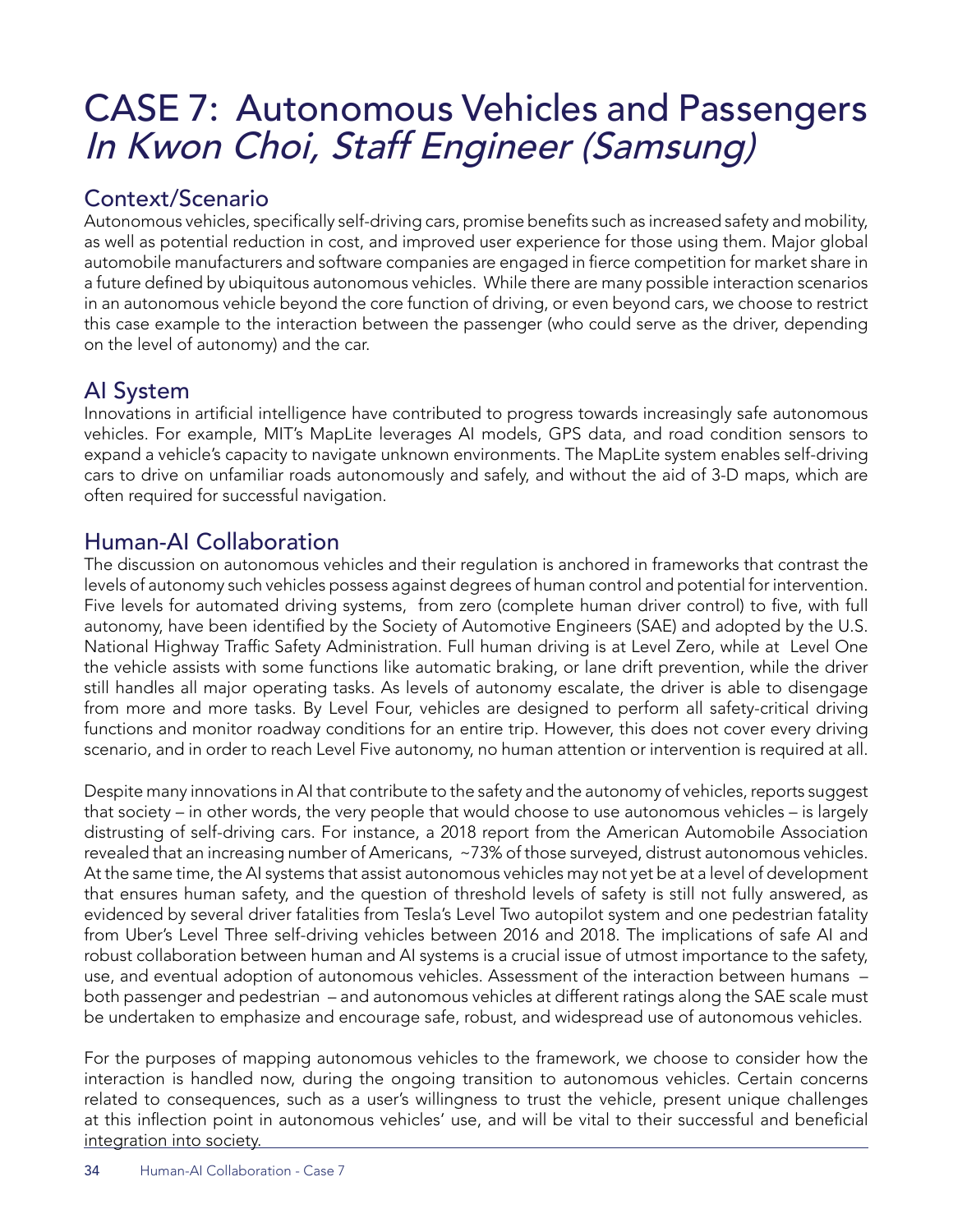# CASE 7: Autonomous Vehicles and Passengers In Kwon Choi, Staff Engineer (Samsung)

## Context/Scenario

Autonomous vehicles, specifically self-driving cars, promise benefits such as increased safety and mobility, as well as potential reduction in cost, and improved user experience for those using them. Major global automobile manufacturers and software companies are engaged in fierce competition for market share in a future defined by ubiquitous autonomous vehicles. While there are many possible interaction scenarios in an autonomous vehicle beyond the core function of driving, or even beyond cars, we choose to restrict this case example to the interaction between the passenger (who could serve as the driver, depending on the level of autonomy) and the car.

## AI System

Innovations in artificial intelligence have contributed to progress towards increasingly safe autonomous vehicles. For example, MIT's MapLite leverages AI models, GPS data, and road condition sensors to expand a vehicle's capacity to navigate unknown environments. The MapLite system enables self-driving cars to drive on unfamiliar roads autonomously and safely, and without the aid of 3-D maps, which are often required for successful navigation.

## Human-AI Collaboration

The discussion on autonomous vehicles and their regulation is anchored in frameworks that contrast the levels of autonomy such vehicles possess against degrees of human control and potential for intervention. Five levels for automated driving systems, from zero (complete human driver control) to five, with full autonomy, have been identified by the Society of Automotive Engineers (SAE) and adopted by the U.S. National Highway Traffic Safety Administration. Full human driving is at Level Zero, while at Level One the vehicle assists with some functions like automatic braking, or lane drift prevention, while the driver still handles all major operating tasks. As levels of autonomy escalate, the driver is able to disengage from more and more tasks. By Level Four, vehicles are designed to perform all safety-critical driving functions and monitor roadway conditions for an entire trip. However, this does not cover every driving scenario, and in order to reach Level Five autonomy, no human attention or intervention is required at all.

Despite many innovations in AI that contribute to the safety and the autonomy of vehicles, reports suggest that society – in other words, the very people that would choose to use autonomous vehicles – is largely distrusting of self-driving cars. For instance, a 2018 report from the American Automobile Association revealed that an increasing number of Americans, ~73% of those surveyed, distrust autonomous vehicles. At the same time, the AI systems that assist autonomous vehicles may not yet be at a level of development that ensures human safety, and the question of threshold levels of safety is still not fully answered, as evidenced by several driver fatalities from Tesla's Level Two autopilot system and one pedestrian fatality from Uber's Level Three self-driving vehicles between 2016 and 2018. The implications of safe AI and robust collaboration between human and AI systems is a crucial issue of utmost importance to the safety, use, and eventual adoption of autonomous vehicles. Assessment of the interaction between humans – both passenger and pedestrian – and autonomous vehicles at different ratings along the SAE scale must be undertaken to emphasize and encourage safe, robust, and widespread use of autonomous vehicles.

For the purposes of mapping autonomous vehicles to the framework, we choose to consider how the interaction is handled now, during the ongoing transition to autonomous vehicles. Certain concerns related to consequences, such as a user's willingness to trust the vehicle, present unique challenges at this inflection point in autonomous vehicles' use, and will be vital to their successful and beneficial integration into society.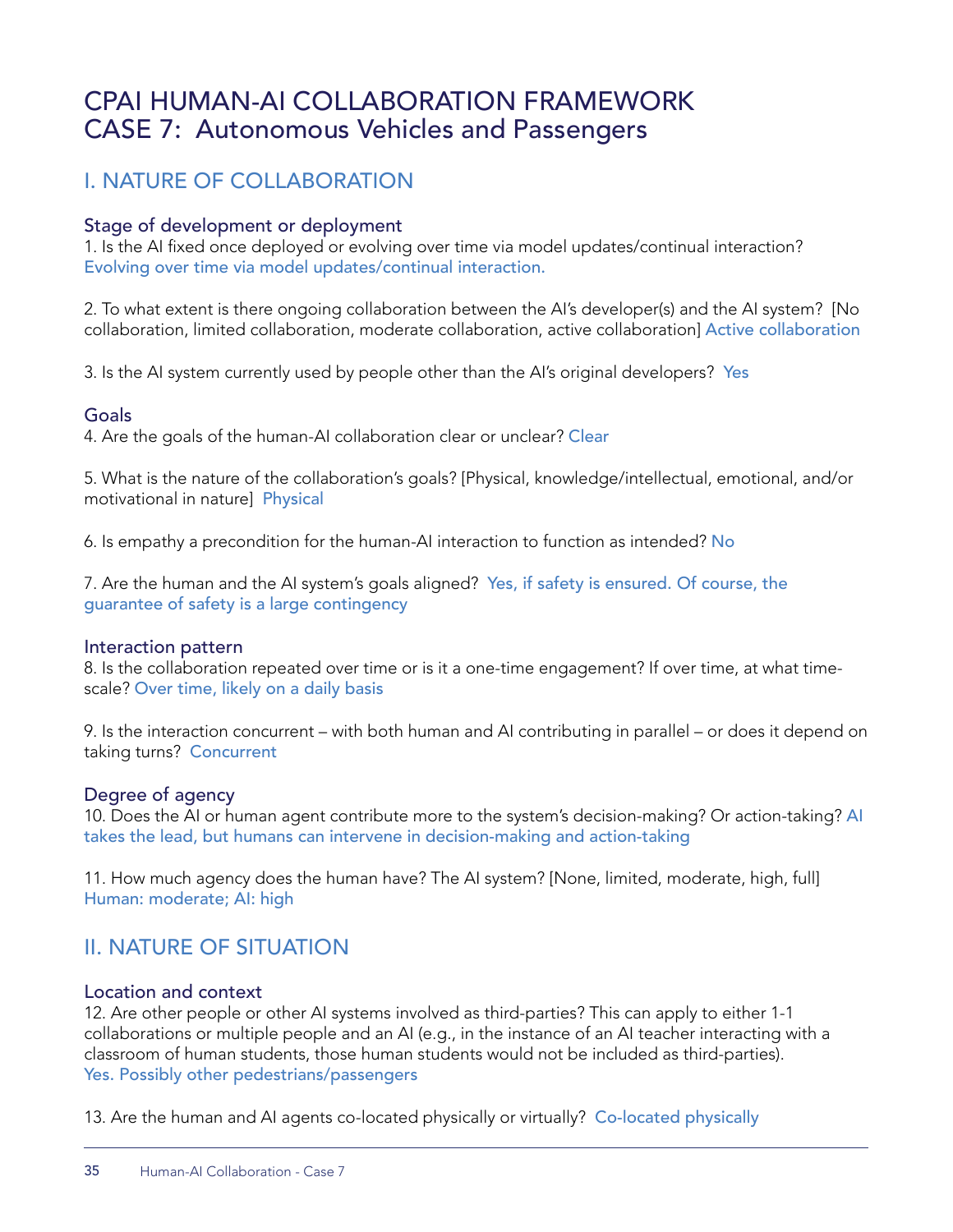## CPAI HUMAN-AI COLLABORATION FRAMEWORK CASE 7: Autonomous Vehicles and Passengers

## I. NATURE OF COLLABORATION

#### Stage of development or deployment

1. Is the AI fixed once deployed or evolving over time via model updates/continual interaction? Evolving over time via model updates/continual interaction.

2. To what extent is there ongoing collaboration between the AI's developer(s) and the AI system? [No collaboration, limited collaboration, moderate collaboration, active collaboration] Active collaboration

3. Is the AI system currently used by people other than the AI's original developers? Yes

#### Goals

4. Are the goals of the human-AI collaboration clear or unclear? Clear

5. What is the nature of the collaboration's goals? [Physical, knowledge/intellectual, emotional, and/or motivational in nature] Physical

6. Is empathy a precondition for the human-AI interaction to function as intended? No

7. Are the human and the AI system's goals aligned? Yes, if safety is ensured. Of course, the guarantee of safety is a large contingency

#### Interaction pattern

8. Is the collaboration repeated over time or is it a one-time engagement? If over time, at what timescale? Over time, likely on a daily basis

9. Is the interaction concurrent – with both human and AI contributing in parallel – or does it depend on taking turns? Concurrent

#### Degree of agency

10. Does the AI or human agent contribute more to the system's decision-making? Or action-taking? AI takes the lead, but humans can intervene in decision-making and action-taking

11. How much agency does the human have? The AI system? [None, limited, moderate, high, full] Human: moderate; AI: high

## II. NATURE OF SITUATION

#### Location and context

12. Are other people or other AI systems involved as third-parties? This can apply to either 1-1 collaborations or multiple people and an AI (e.g., in the instance of an AI teacher interacting with a classroom of human students, those human students would not be included as third-parties). Yes. Possibly other pedestrians/passengers

13. Are the human and AI agents co-located physically or virtually? Co-located physically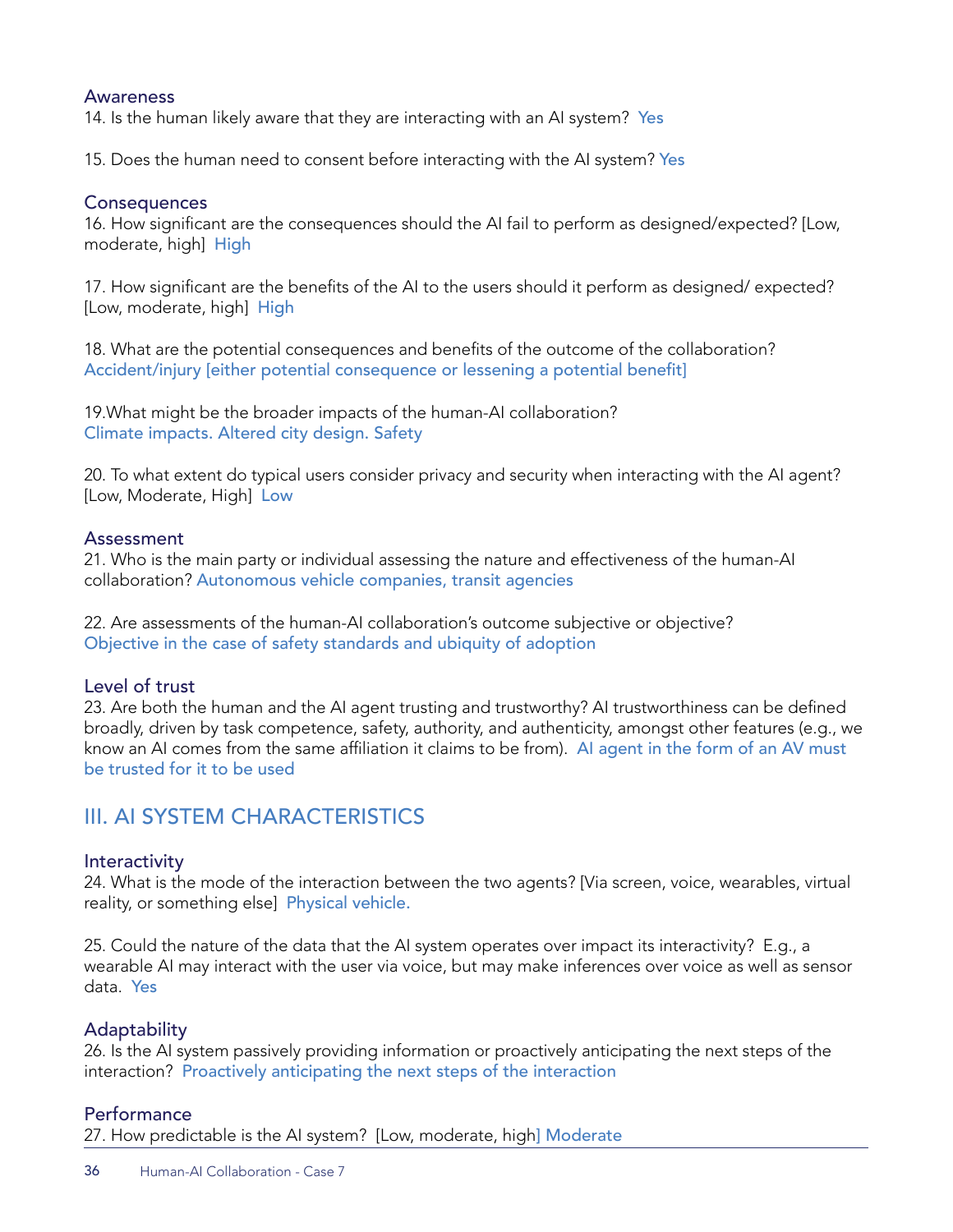#### Awareness

14. Is the human likely aware that they are interacting with an AI system? Yes

15. Does the human need to consent before interacting with the AI system? Yes

#### **Consequences**

16. How significant are the consequences should the AI fail to perform as designed/expected? [Low, moderate, high] High

17. How significant are the benefits of the AI to the users should it perform as designed/ expected? [Low, moderate, high] High

18. What are the potential consequences and benefits of the outcome of the collaboration? Accident/injury [either potential consequence or lessening a potential benefit]

19.What might be the broader impacts of the human-AI collaboration? Climate impacts. Altered city design. Safety

20. To what extent do typical users consider privacy and security when interacting with the AI agent? [Low, Moderate, High] Low

#### Assessment

21. Who is the main party or individual assessing the nature and effectiveness of the human-AI collaboration? Autonomous vehicle companies, transit agencies

22. Are assessments of the human-AI collaboration's outcome subjective or objective? Objective in the case of safety standards and ubiquity of adoption

#### Level of trust

23. Are both the human and the AI agent trusting and trustworthy? AI trustworthiness can be defined broadly, driven by task competence, safety, authority, and authenticity, amongst other features (e.g., we know an AI comes from the same affiliation it claims to be from). AI agent in the form of an AV must be trusted for it to be used

## III. AI SYSTEM CHARACTERISTICS

#### **Interactivity**

24. What is the mode of the interaction between the two agents? [Via screen, voice, wearables, virtual reality, or something else] Physical vehicle.

25. Could the nature of the data that the AI system operates over impact its interactivity? E.g., a wearable AI may interact with the user via voice, but may make inferences over voice as well as sensor data. Yes

#### Adaptability

26. Is the AI system passively providing information or proactively anticipating the next steps of the interaction? Proactively anticipating the next steps of the interaction

#### **Performance**

27. How predictable is the AI system? [Low, moderate, high] Moderate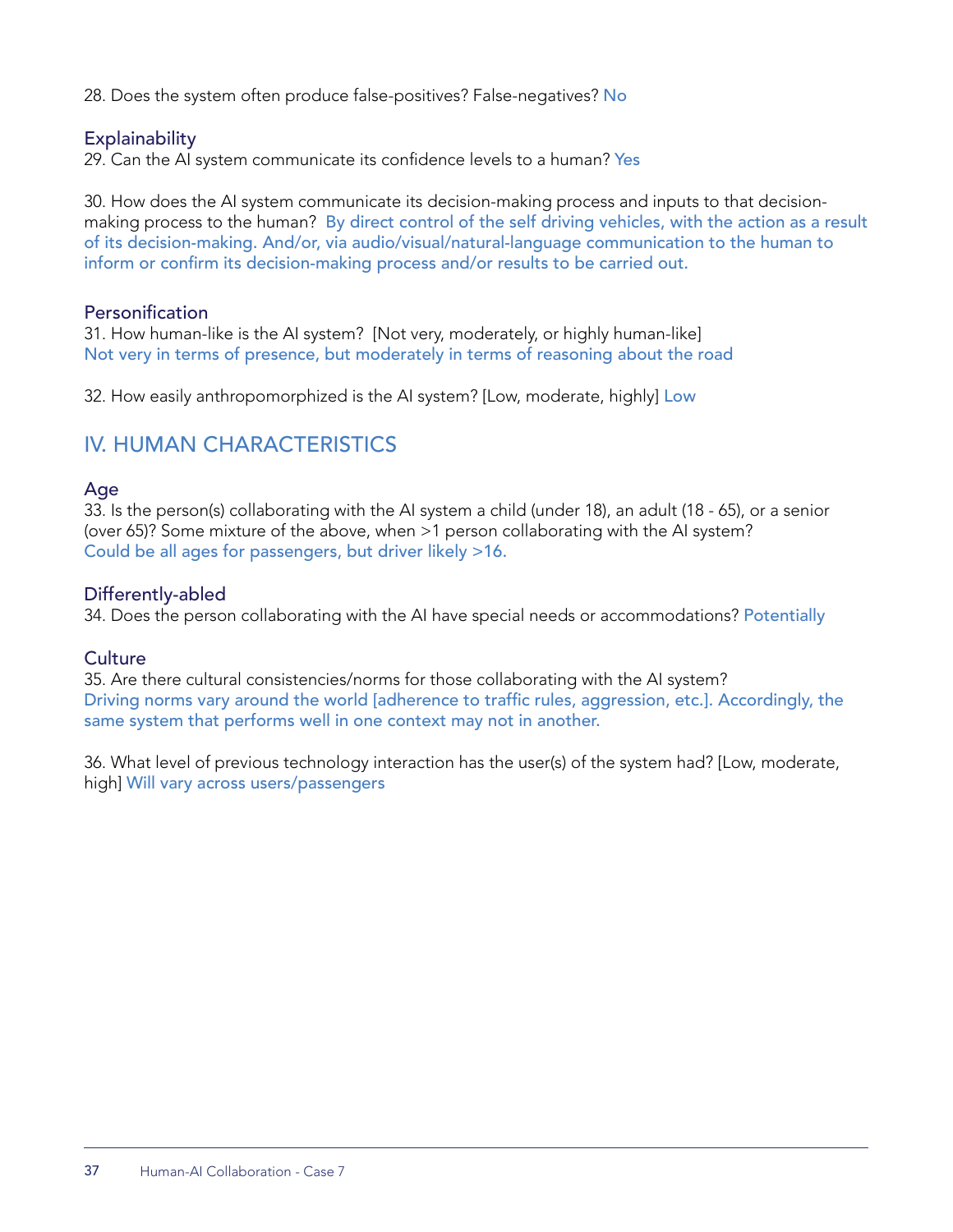28. Does the system often produce false-positives? False-negatives? No

#### **Explainability**

29. Can the AI system communicate its confidence levels to a human? Yes

30. How does the AI system communicate its decision-making process and inputs to that decisionmaking process to the human? By direct control of the self driving vehicles, with the action as a result of its decision-making. And/or, via audio/visual/natural-language communication to the human to inform or confirm its decision-making process and/or results to be carried out.

#### Personification

31. How human-like is the AI system? [Not very, moderately, or highly human-like] Not very in terms of presence, but moderately in terms of reasoning about the road

32. How easily anthropomorphized is the AI system? [Low, moderate, highly] Low

## IV. HUMAN CHARACTERISTICS

#### Age

33. Is the person(s) collaborating with the AI system a child (under 18), an adult (18 - 65), or a senior (over 65)? Some mixture of the above, when >1 person collaborating with the AI system? Could be all ages for passengers, but driver likely >16.

#### Differently-abled

34. Does the person collaborating with the AI have special needs or accommodations? Potentially

#### **Culture**

35. Are there cultural consistencies/norms for those collaborating with the AI system? Driving norms vary around the world [adherence to traffic rules, aggression, etc.]. Accordingly, the same system that performs well in one context may not in another.

36. What level of previous technology interaction has the user(s) of the system had? [Low, moderate, high] Will vary across users/passengers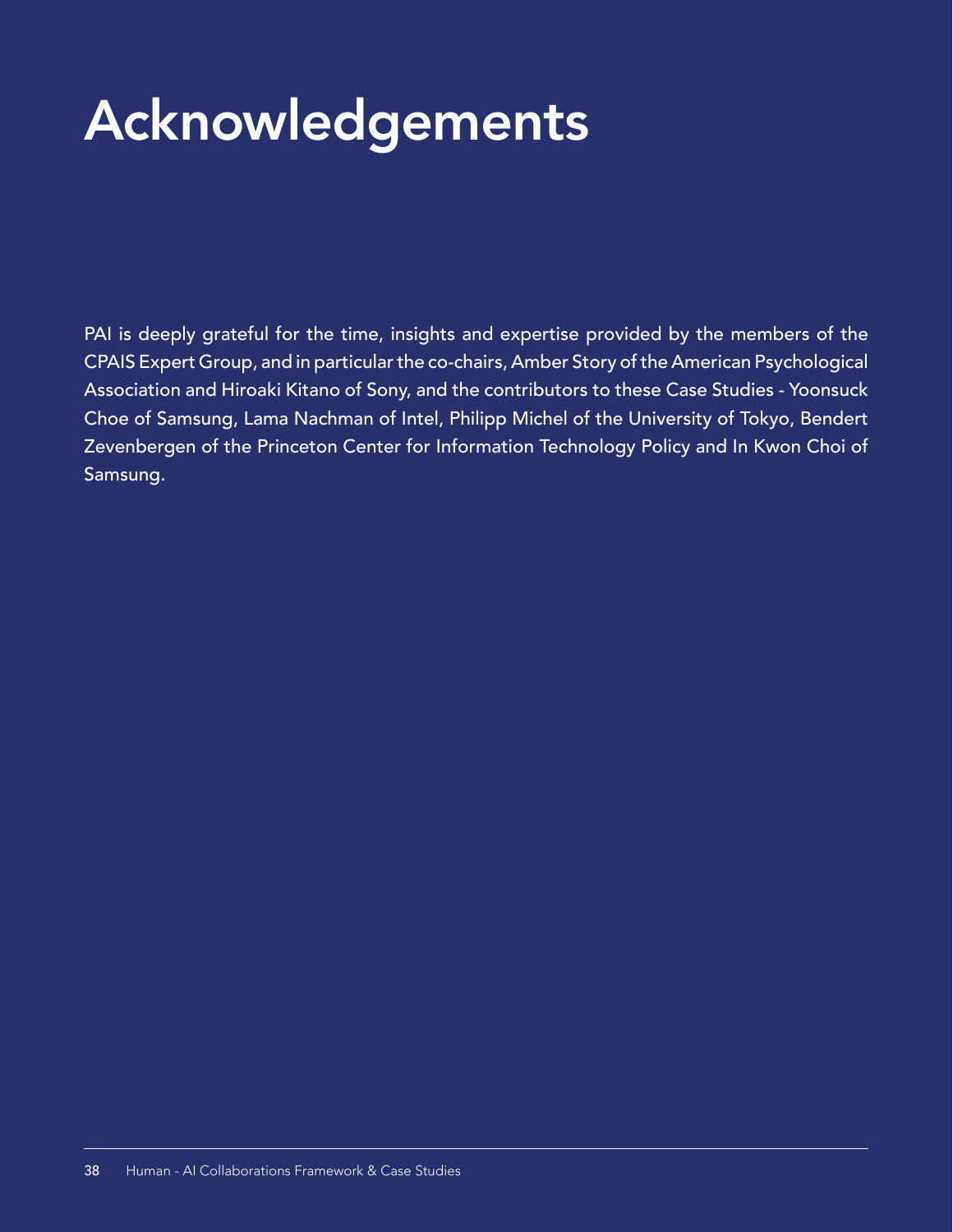# Acknowledgements

PAI is deeply grateful for the time, insights and expertise provided by the members of the CPAIS Expert Group, and in particular the co-chairs, Amber Story of the American Psychological Association and Hiroaki Kitano of Sony, and the contributors to these Case Studies - Yoonsuck Choe of Samsung, Lama Nachman of Intel, Philipp Michel of the University of Tokyo, Bendert Zevenbergen of the Princeton Center for Information Technology Policy and In Kwon Choi of Samsung.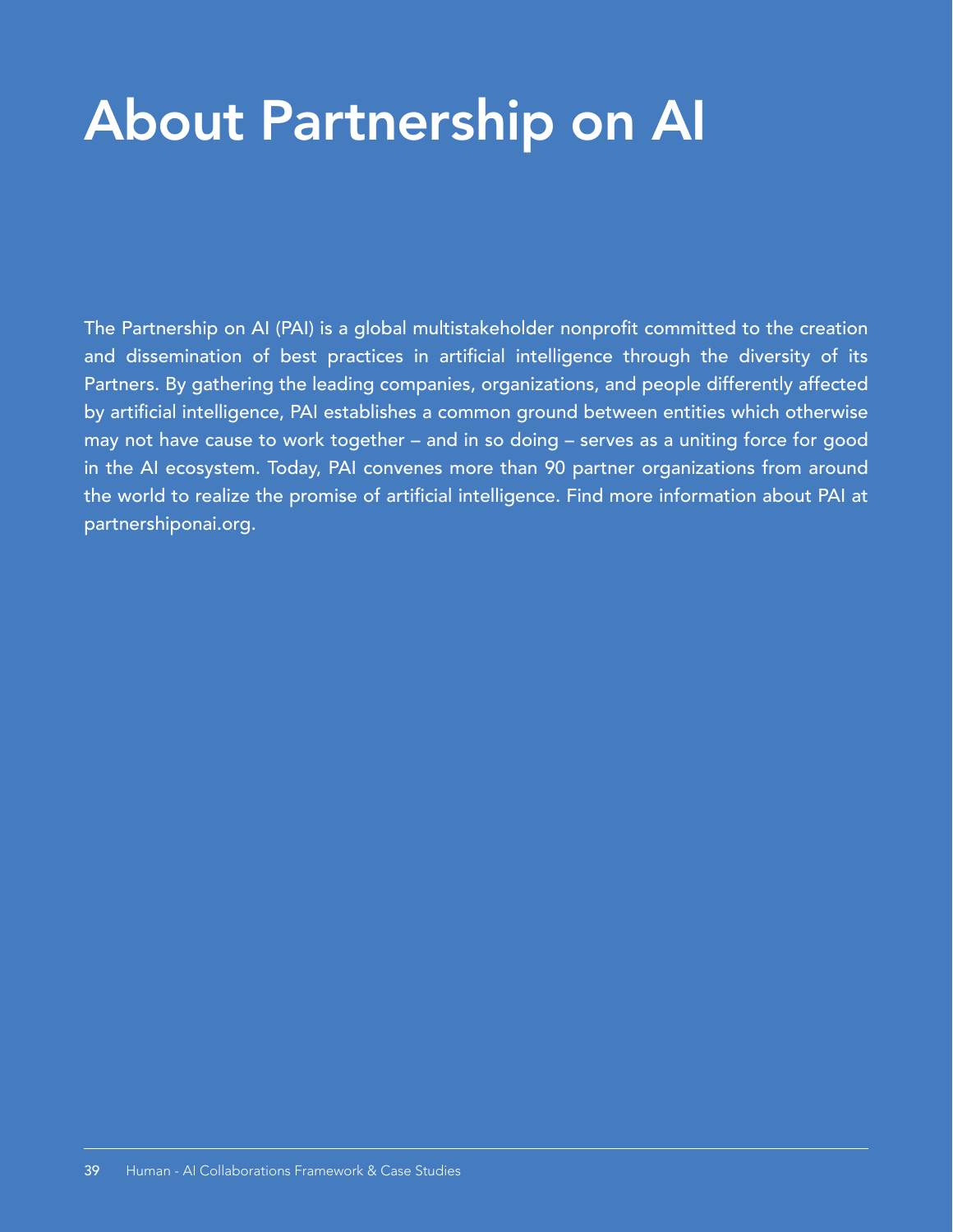# About Partnership on AI About Partnership on AI

The Partnership on AI (PAI) is a global multistakeholder nonprofit committed to the creation and dissemination of best practices in artificial intelligence through the diversity of its Partners. By gathering the leading companies, organizations, and people differently affected by artificial intelligence, PAI establishes a common ground between entities which otherwise may not have cause to work together – and in so doing – serves as a uniting force for good in the AI ecosystem. Today, PAI convenes more than 90 partner organizations from around the world to realize the promise of artificial intelligence. Find more information about PAI at partnershiponai.org.